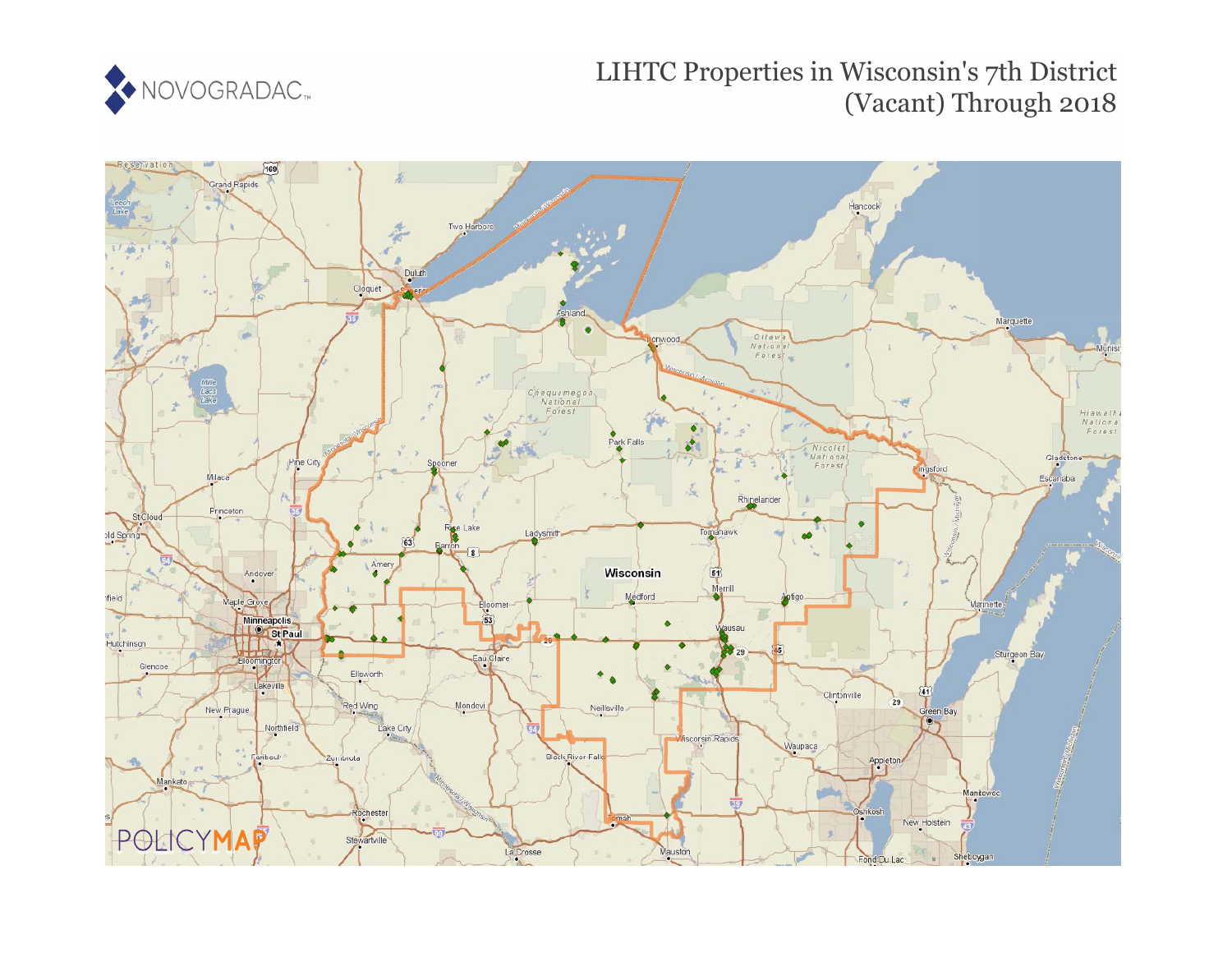

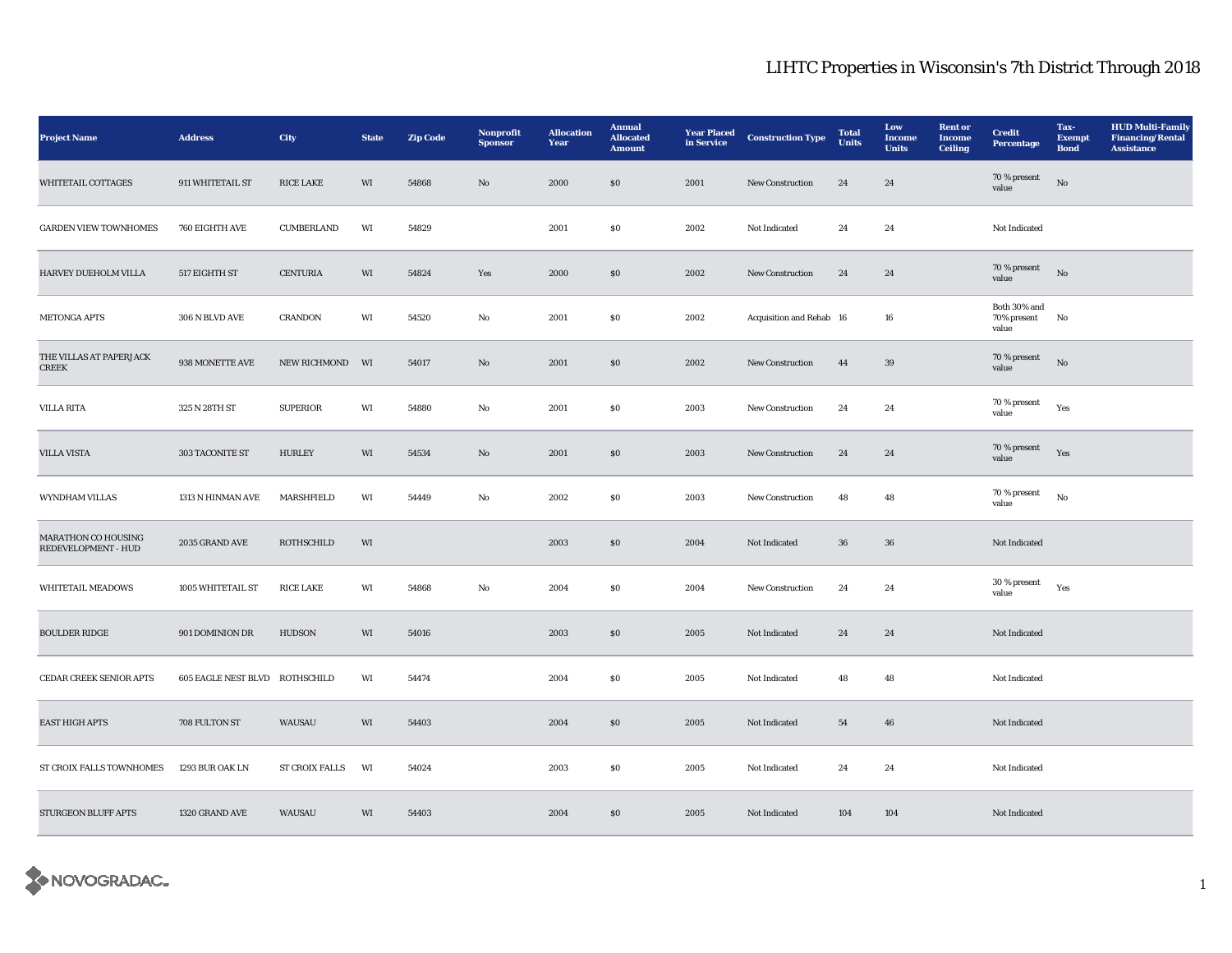| <b>Project Name</b>                        | <b>Address</b>                 | <b>City</b>           | <b>State</b> | <b>Zip Code</b> | Nonprofit<br><b>Sponsor</b> | <b>Allocation</b><br>Year | <b>Annual</b><br><b>Allocated</b><br><b>Amount</b> | <b>Year Placed</b><br>in Service | <b>Construction Type</b> | <b>Total</b><br><b>Units</b> | Low<br>Income<br><b>Units</b> | <b>Rent</b> or<br>Income<br><b>Ceiling</b> | <b>Credit</b><br>Percentage          | Tax-<br><b>Exempt</b><br><b>Bond</b> | <b>HUD Multi-Family</b><br><b>Financing/Rental</b><br><b>Assistance</b> |
|--------------------------------------------|--------------------------------|-----------------------|--------------|-----------------|-----------------------------|---------------------------|----------------------------------------------------|----------------------------------|--------------------------|------------------------------|-------------------------------|--------------------------------------------|--------------------------------------|--------------------------------------|-------------------------------------------------------------------------|
| <b>WHITETAIL COTTAGES</b>                  | 911 WHITETAIL ST               | <b>RICE LAKE</b>      | WI           | 54868           | No                          | 2000                      | \$0\$                                              | 2001                             | <b>New Construction</b>  | 24                           | 24                            |                                            | 70 % present<br>value                | No                                   |                                                                         |
| <b>GARDEN VIEW TOWNHOMES</b>               | 760 EIGHTH AVE                 | CUMBERLAND            | WI           | 54829           |                             | 2001                      | S <sub>0</sub>                                     | 2002                             | Not Indicated            | 24                           | 24                            |                                            | Not Indicated                        |                                      |                                                                         |
| HARVEY DUEHOLM VILLA                       | 517 EIGHTH ST                  | <b>CENTURIA</b>       | $\rm WI$     | 54824           | Yes                         | 2000                      | $\$0$                                              | 2002                             | New Construction         | $\bf 24$                     | $\bf 24$                      |                                            | 70 % present<br>value                | $_{\rm No}$                          |                                                                         |
| METONGA APTS                               | 306 N BLVD AVE                 | <b>CRANDON</b>        | WI           | 54520           | $\rm No$                    | 2001                      | $\boldsymbol{\mathsf{S}}\boldsymbol{\mathsf{0}}$   | 2002                             | Acquisition and Rehab 16 |                              | 16                            |                                            | Both 30% and<br>70% present<br>value | No                                   |                                                                         |
| THE VILLAS AT PAPERJACK<br><b>CREEK</b>    | 938 MONETTE AVE                | <b>NEW RICHMOND</b>   | WI           | 54017           | No                          | 2001                      | \$0                                                | 2002                             | <b>New Construction</b>  | 44                           | $39\,$                        |                                            | $70\,\%$ present<br>value            | No                                   |                                                                         |
| <b>VILLA RITA</b>                          | 325 N 28TH ST                  | <b>SUPERIOR</b>       | WI           | 54880           | No                          | 2001                      | <b>SO</b>                                          | 2003                             | <b>New Construction</b>  | 24                           | 24                            |                                            | 70 % present<br>value                | Yes                                  |                                                                         |
| <b>VILLA VISTA</b>                         | 303 TACONITE ST                | <b>HURLEY</b>         | WI           | 54534           | No                          | 2001                      | $\$0$                                              | 2003                             | New Construction         | 24                           | 24                            |                                            | 70 % present<br>value                | Yes                                  |                                                                         |
| WYNDHAM VILLAS                             | 1313 N HINMAN AVE              | MARSHFIELD            | WI           | 54449           | No                          | 2002                      | S <sub>0</sub>                                     | 2003                             | New Construction         | 48                           | 48                            |                                            | 70 % present<br>value                | $\rm\thinspace No$                   |                                                                         |
| MARATHON CO HOUSING<br>REDEVELOPMENT - HUD | 2035 GRAND AVE                 | <b>ROTHSCHILD</b>     | WI           |                 |                             | 2003                      | S <sub>0</sub>                                     | 2004                             | Not Indicated            | 36                           | ${\bf 36}$                    |                                            | Not Indicated                        |                                      |                                                                         |
| WHITETAIL MEADOWS                          | 1005 WHITETAIL ST              | <b>RICE LAKE</b>      | WI           | 54868           | No                          | 2004                      | S <sub>0</sub>                                     | 2004                             | New Construction         | 24                           | 24                            |                                            | 30 % present<br>value                | Yes                                  |                                                                         |
| <b>BOULDER RIDGE</b>                       | 901 DOMINION DR                | HUDSON                | WI           | 54016           |                             | 2003                      | \$0\$                                              | 2005                             | Not Indicated            | 24                           | 24                            |                                            | Not Indicated                        |                                      |                                                                         |
| CEDAR CREEK SENIOR APTS                    | 605 EAGLE NEST BLVD ROTHSCHILD |                       | WI           | 54474           |                             | 2004                      | $\boldsymbol{\mathsf{S}}\boldsymbol{\mathsf{0}}$   | 2005                             | Not Indicated            | 48                           | 48                            |                                            | Not Indicated                        |                                      |                                                                         |
| <b>EAST HIGH APTS</b>                      | 708 FULTON ST                  | WAUSAU                | WI           | 54403           |                             | 2004                      | SO                                                 | 2005                             | Not Indicated            | 54                           | 46                            |                                            | Not Indicated                        |                                      |                                                                         |
| ST CROIX FALLS TOWNHOMES                   | 1293 BUR OAK LN                | <b>ST CROIX FALLS</b> | WI           | 54024           |                             | 2003                      | S <sub>0</sub>                                     | 2005                             | Not Indicated            | 24                           | 24                            |                                            | Not Indicated                        |                                      |                                                                         |
| STURGEON BLUFF APTS                        | 1320 GRAND AVE                 | WAUSAU                | WI           | 54403           |                             | 2004                      | \$0\$                                              | 2005                             | Not Indicated            | 104                          | 104                           |                                            | Not Indicated                        |                                      |                                                                         |

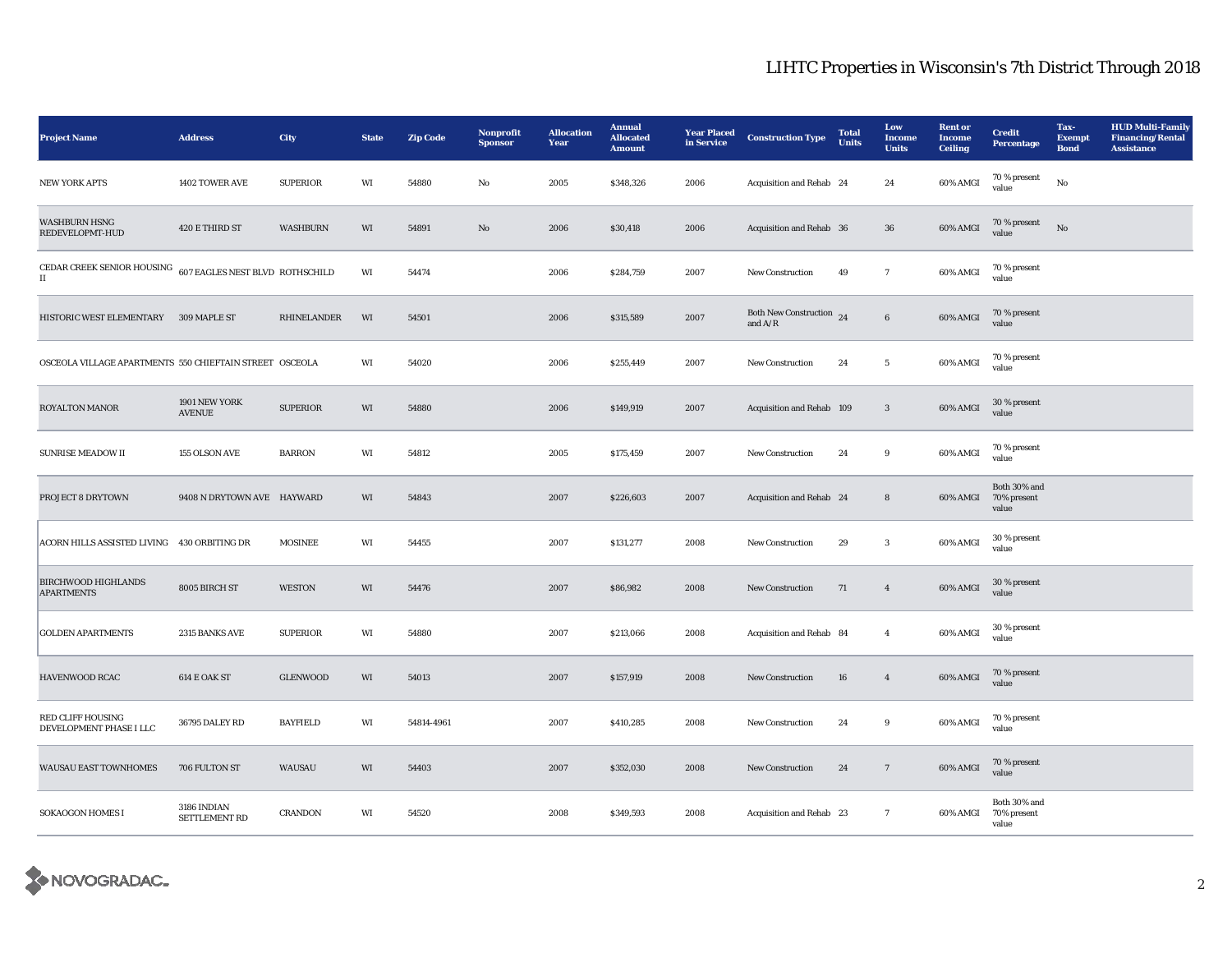| <b>Project Name</b>                                                                          | <b>Address</b>                 | City            | <b>State</b> | <b>Zip Code</b> | Nonprofit<br><b>Sponsor</b> | <b>Allocation</b><br>Year | <b>Annual</b><br><b>Allocated</b><br><b>Amount</b> | <b>Year Placed</b><br>in Service | <b>Construction Type</b>                                  | <b>Total</b><br><b>Units</b> | Low<br>Income<br><b>Units</b> | <b>Rent or</b><br><b>Income</b><br><b>Ceiling</b> | <b>Credit</b><br>Percentage          | Tax-<br><b>Exempt</b><br><b>Bond</b> | <b>HUD Multi-Family</b><br><b>Financing/Rental</b><br><b>Assistance</b> |
|----------------------------------------------------------------------------------------------|--------------------------------|-----------------|--------------|-----------------|-----------------------------|---------------------------|----------------------------------------------------|----------------------------------|-----------------------------------------------------------|------------------------------|-------------------------------|---------------------------------------------------|--------------------------------------|--------------------------------------|-------------------------------------------------------------------------|
| <b>NEW YORK APTS</b>                                                                         | 1402 TOWER AVE                 | <b>SUPERIOR</b> | WI           | 54880           | No                          | 2005                      | \$348,326                                          | 2006                             | Acquisition and Rehab 24                                  |                              | 24                            | 60% AMGI                                          | 70 % present<br>value                | $_{\rm No}$                          |                                                                         |
| <b>WASHBURN HSNG</b><br>REDEVELOPMT-HUD                                                      | 420 E THIRD ST                 | WASHBURN        | WI           | 54891           | $\mathbf{N}\mathbf{o}$      | 2006                      | \$30,418                                           | 2006                             | Acquisition and Rehab 36                                  |                              | 36                            | 60% AMGI                                          | 70 % present<br>value                | No                                   |                                                                         |
| CEDAR CREEK SENIOR HOUSING $\,$ 607 EAGLES NEST BLVD $\,$ ROTHSCHILD<br>$\scriptstyle\rm II$ |                                |                 | WI           | 54474           |                             | 2006                      | \$284,759                                          | 2007                             | <b>New Construction</b>                                   | 49                           | $\tau$                        | 60% AMGI                                          | 70 % present<br>value                |                                      |                                                                         |
| HISTORIC WEST ELEMENTARY 309 MAPLE ST                                                        |                                | RHINELANDER     | WI           | 54501           |                             | 2006                      | \$315,589                                          | 2007                             | Both New Construction $24$<br>and $\mathrm{A}/\mathrm{R}$ |                              | $\bf 6$                       | 60% AMGI                                          | 70 % present<br>value                |                                      |                                                                         |
| OSCEOLA VILLAGE APARTMENTS 550 CHIEFTAIN STREET OSCEOLA                                      |                                |                 | WI           | 54020           |                             | 2006                      | \$255,449                                          | 2007                             | <b>New Construction</b>                                   | 24                           | $5\phantom{.0}$               | 60% AMGI                                          | 70 % present<br>value                |                                      |                                                                         |
| <b>ROYALTON MANOR</b>                                                                        | 1901 NEW YORK<br><b>AVENUE</b> | <b>SUPERIOR</b> | WI           | 54880           |                             | 2006                      | \$149,919                                          | 2007                             | Acquisition and Rehab 109                                 |                              | $\sqrt{3}$                    | 60% AMGI                                          | 30 % present<br>value                |                                      |                                                                         |
| <b>SUNRISE MEADOW II</b>                                                                     | 155 OLSON AVE                  | <b>BARRON</b>   | WI           | 54812           |                             | 2005                      | \$175,459                                          | 2007                             | New Construction                                          | 24                           | $\boldsymbol{9}$              | 60% AMGI                                          | 70 % present<br>value                |                                      |                                                                         |
| PROJECT 8 DRYTOWN                                                                            | 9408 N DRYTOWN AVE HAYWARD     |                 | WI           | 54843           |                             | 2007                      | \$226,603                                          | 2007                             | Acquisition and Rehab 24                                  |                              | $\bf8$                        | 60% AMGI                                          | Both 30% and<br>70% present<br>value |                                      |                                                                         |
| ACORN HILLS ASSISTED LIVING 430 ORBITING DR                                                  |                                | <b>MOSINEE</b>  | WI           | 54455           |                             | 2007                      | \$131,277                                          | 2008                             | New Construction                                          | 29                           | $\mathbf{3}$                  | 60% AMGI                                          | $30\,\%$ present<br>value            |                                      |                                                                         |
| <b>BIRCHWOOD HIGHLANDS</b><br><b>APARTMENTS</b>                                              | 8005 BIRCH ST                  | <b>WESTON</b>   | WI           | 54476           |                             | 2007                      | \$86,982                                           | 2008                             | New Construction                                          | 71                           | $\overline{4}$                | 60% AMGI                                          | 30 % present<br>value                |                                      |                                                                         |
| <b>GOLDEN APARTMENTS</b>                                                                     | 2315 BANKS AVE                 | <b>SUPERIOR</b> | WI           | 54880           |                             | 2007                      | \$213,066                                          | 2008                             | Acquisition and Rehab 84                                  |                              | $\overline{4}$                | 60% AMGI                                          | 30 % present<br>value                |                                      |                                                                         |
| HAVENWOOD RCAC                                                                               | 614 E OAK ST                   | <b>GLENWOOD</b> | WI           | 54013           |                             | 2007                      | \$157,919                                          | 2008                             | New Construction                                          | 16                           | $\overline{4}$                | 60% AMGI                                          | 70 % present<br>value                |                                      |                                                                         |
| <b>RED CLIFF HOUSING</b><br>DEVELOPMENT PHASE I LLC                                          | 36795 DALEY RD                 | <b>BAYFIELD</b> | WI           | 54814-4961      |                             | 2007                      | \$410,285                                          | 2008                             | New Construction                                          | 24                           | 9                             | 60% AMGI                                          | 70 % present<br>value                |                                      |                                                                         |
| WAUSAU EAST TOWNHOMES                                                                        | 706 FULTON ST                  | WAUSAU          | WI           | 54403           |                             | 2007                      | \$352,030                                          | 2008                             | New Construction                                          | 24                           | $7\phantom{.0}$               | 60% AMGI                                          | 70 % present<br>value                |                                      |                                                                         |
| <b>SOKAOGON HOMES I</b>                                                                      | 3186 INDIAN<br>SETTLEMENT RD   | <b>CRANDON</b>  | WI           | 54520           |                             | 2008                      | \$349,593                                          | 2008                             | Acquisition and Rehab 23                                  |                              | 7                             | 60% AMGI                                          | Both 30% and<br>70% present<br>value |                                      |                                                                         |

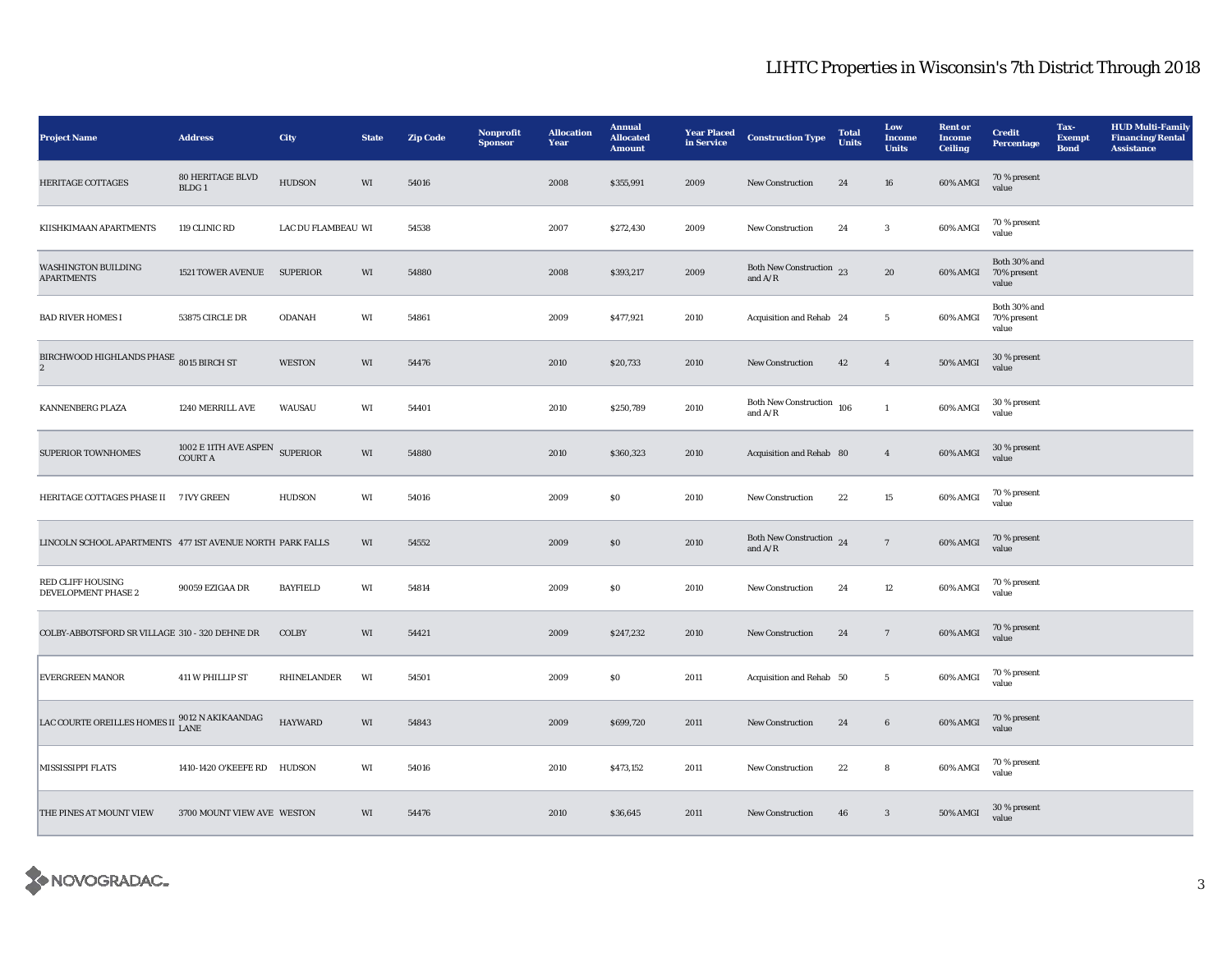| <b>Project Name</b>                                            | <b>Address</b>                          | City               | <b>State</b> | <b>Zip Code</b> | Nonprofit<br><b>Sponsor</b> | <b>Allocation</b><br>Year | <b>Annual</b><br><b>Allocated</b><br><b>Amount</b> | <b>Year Placed</b><br>in Service | <b>Construction Type</b>                  | <b>Total</b><br><b>Units</b> | Low<br><b>Income</b><br><b>Units</b> | <b>Rent</b> or<br><b>Income</b><br><b>Ceiling</b> | <b>Credit</b><br><b>Percentage</b>   | Tax-<br><b>Exempt</b><br><b>Bond</b> | <b>HUD Multi-Family</b><br><b>Financing/Rental</b><br><b>Assistance</b> |
|----------------------------------------------------------------|-----------------------------------------|--------------------|--------------|-----------------|-----------------------------|---------------------------|----------------------------------------------------|----------------------------------|-------------------------------------------|------------------------------|--------------------------------------|---------------------------------------------------|--------------------------------------|--------------------------------------|-------------------------------------------------------------------------|
| <b>HERITAGE COTTAGES</b>                                       | 80 HERITAGE BLVD<br>BLDG <sub>1</sub>   | <b>HUDSON</b>      | WI           | 54016           |                             | 2008                      | \$355,991                                          | 2009                             | <b>New Construction</b>                   | 24                           | 16                                   | 60% AMGI                                          | 70 % present<br>value                |                                      |                                                                         |
| KIISHKIMAAN APARTMENTS                                         | 119 CLINIC RD                           | LAC DU FLAMBEAU WI |              | 54538           |                             | 2007                      | \$272,430                                          | 2009                             | <b>New Construction</b>                   | 24                           | $\mathbf{3}$                         | 60% AMGI                                          | 70 % present<br>value                |                                      |                                                                         |
| WASHINGTON BUILDING<br><b>APARTMENTS</b>                       | <b>1521 TOWER AVENUE</b>                | <b>SUPERIOR</b>    | WI           | 54880           |                             | 2008                      | \$393,217                                          | 2009                             | Both New Construction 23<br>and $A/R$     |                              | 20                                   | 60% AMGI                                          | Both 30% and<br>70% present<br>value |                                      |                                                                         |
| <b>BAD RIVER HOMES I</b>                                       | 53875 CIRCLE DR                         | <b>ODANAH</b>      | WI           | 54861           |                             | 2009                      | \$477,921                                          | 2010                             | Acquisition and Rehab 24                  |                              | $5\phantom{.0}$                      | 60% AMGI                                          | Both 30% and<br>70% present<br>value |                                      |                                                                         |
| BIRCHWOOD HIGHLANDS PHASE 8015 BIRCH ST<br>$\overline{2}$      |                                         | <b>WESTON</b>      | WI           | 54476           |                             | 2010                      | \$20,733                                           | 2010                             | <b>New Construction</b>                   | 42                           | $\overline{4}$                       | 50% AMGI                                          | 30 % present<br>value                |                                      |                                                                         |
| KANNENBERG PLAZA                                               | 1240 MERRILL AVE                        | WAUSAU             | WI           | 54401           |                             | 2010                      | \$250,789                                          | 2010                             | <b>Both New Construction</b><br>and $A/R$ | 106                          | $\mathbf{1}$                         | 60% AMGI                                          | 30 % present<br>value                |                                      |                                                                         |
| <b>SUPERIOR TOWNHOMES</b>                                      | 1002 E 11TH AVE ASPEN<br><b>COURT A</b> | <b>SUPERIOR</b>    | WI           | 54880           |                             | 2010                      | \$360,323                                          | 2010                             | Acquisition and Rehab 80                  |                              | $\overline{4}$                       | 60% AMGI                                          | 30 % present<br>value                |                                      |                                                                         |
| HERITAGE COTTAGES PHASE II 7 IVY GREEN                         |                                         | HUDSON             | WI           | 54016           |                             | 2009                      | $\$0$                                              | 2010                             | New Construction                          | 22                           | 15                                   | 60% AMGI                                          | 70 % present<br>value                |                                      |                                                                         |
| LINCOLN SCHOOL APARTMENTS 477 1ST AVENUE NORTH PARK FALLS      |                                         |                    | WI           | 54552           |                             | 2009                      | S <sub>0</sub>                                     | 2010                             | Both New Construction 24<br>and $A/R$     |                              | $7\phantom{.0}$                      | 60% AMGI                                          | 70 % present<br>value                |                                      |                                                                         |
| <b>RED CLIFF HOUSING</b><br>DEVELOPMENT PHASE 2                | 90059 EZIGAA DR                         | <b>BAYFIELD</b>    | WI           | 54814           |                             | 2009                      | $\$0$                                              | 2010                             | New Construction                          | 24                           | 12                                   | 60% AMGI                                          | 70 % present<br>value                |                                      |                                                                         |
| COLBY-ABBOTSFORD SR VILLAGE 310 - 320 DEHNE DR                 |                                         | COLBY              | WI           | 54421           |                             | 2009                      | \$247,232                                          | 2010                             | New Construction                          | 24                           | $7\phantom{.0}$                      | 60% AMGI                                          | 70 % present<br>value                |                                      |                                                                         |
| <b>EVERGREEN MANOR</b>                                         | 411 W PHILLIP ST                        | RHINELANDER        | WI           | 54501           |                             | 2009                      | S <sub>0</sub>                                     | 2011                             | Acquisition and Rehab 50                  |                              | $5\overline{ }$                      | 60% AMGI                                          | 70 % present<br>value                |                                      |                                                                         |
| LAC COURTE OREILLES HOMES II $_{\rm LANE}^{9012}$ N AKIKAANDAG |                                         | <b>HAYWARD</b>     | WI           | 54843           |                             | 2009                      | \$699,720                                          | 2011                             | <b>New Construction</b>                   | 24                           | $6\phantom{.0}$                      | 60% AMGI                                          | 70 % present<br>value                |                                      |                                                                         |
| MISSISSIPPI FLATS                                              | 1410-1420 O'KEEFE RD HUDSON             |                    | WI           | 54016           |                             | 2010                      | \$473,152                                          | 2011                             | New Construction                          | 22                           | ${\bf 8}$                            | 60% AMGI                                          | 70 % present<br>value                |                                      |                                                                         |
| THE PINES AT MOUNT VIEW                                        | 3700 MOUNT VIEW AVE WESTON              |                    | WI           | 54476           |                             | 2010                      | \$36,645                                           | 2011                             | New Construction                          | 46                           | $\sqrt{3}$                           | 50% AMGI                                          | 30 % present<br>value                |                                      |                                                                         |

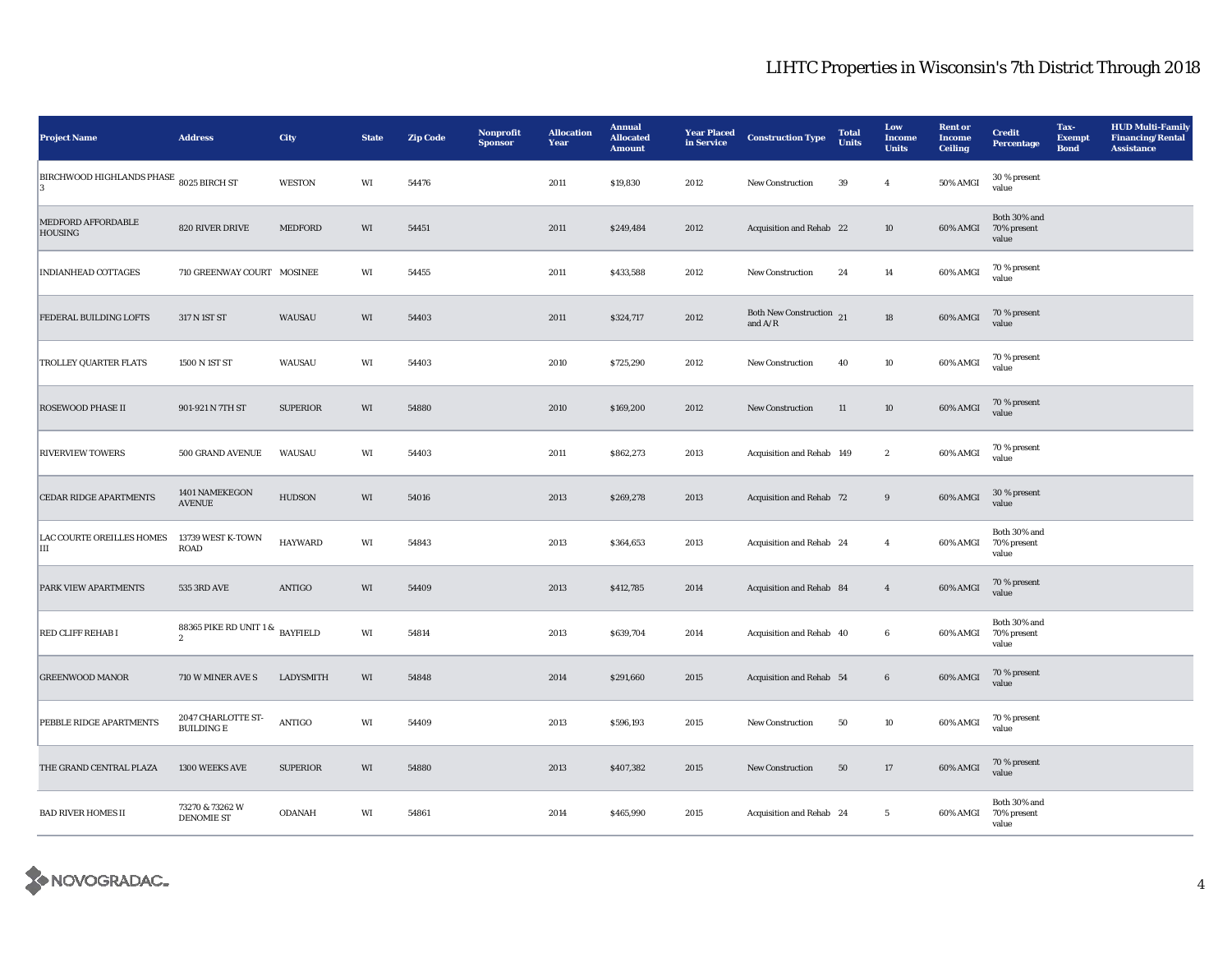| <b>Project Name</b>                     | <b>Address</b>                                    | City            | <b>State</b> | <b>Zip Code</b> | Nonprofit<br><b>Sponsor</b> | <b>Allocation</b><br>Year | <b>Annual</b><br><b>Allocated</b><br><b>Amount</b> | <b>Year Placed</b><br>in Service | <b>Construction Type</b>                       | <b>Total</b><br><b>Units</b> | Low<br><b>Income</b><br><b>Units</b> | <b>Rent or</b><br><b>Income</b><br><b>Ceiling</b> | <b>Credit</b><br>Percentage          | Tax-<br><b>Exempt</b><br><b>Bond</b> | <b>HUD Multi-Family</b><br><b>Financing/Rental</b><br><b>Assistance</b> |
|-----------------------------------------|---------------------------------------------------|-----------------|--------------|-----------------|-----------------------------|---------------------------|----------------------------------------------------|----------------------------------|------------------------------------------------|------------------------------|--------------------------------------|---------------------------------------------------|--------------------------------------|--------------------------------------|-------------------------------------------------------------------------|
| BIRCHWOOD HIGHLANDS PHASE 8025 BIRCH ST |                                                   | <b>WESTON</b>   | WI           | 54476           |                             | 2011                      | \$19,830                                           | 2012                             | New Construction                               | 39                           | $\overline{4}$                       | 50% AMGI                                          | 30 % present<br>value                |                                      |                                                                         |
| MEDFORD AFFORDABLE<br><b>HOUSING</b>    | 820 RIVER DRIVE                                   | MEDFORD         | WI           | 54451           |                             | 2011                      | \$249,484                                          | 2012                             | Acquisition and Rehab 22                       |                              | $10\,$                               | 60% AMGI                                          | Both 30% and<br>70% present<br>value |                                      |                                                                         |
| <b>INDIANHEAD COTTAGES</b>              | 710 GREENWAY COURT MOSINEE                        |                 | WI           | 54455           |                             | 2011                      | \$433,588                                          | 2012                             | New Construction                               | 24                           | 14                                   | 60% AMGI                                          | 70 % present<br>value                |                                      |                                                                         |
| FEDERAL BUILDING LOFTS                  | 317 N 1ST ST                                      | WAUSAU          | WI           | 54403           |                             | 2011                      | \$324,717                                          | 2012                             | Both New Construction $_{21}$<br>and $\rm A/R$ |                              | ${\bf 18}$                           | 60% AMGI                                          | 70 % present<br>value                |                                      |                                                                         |
| <b>TROLLEY QUARTER FLATS</b>            | 1500 N 1ST ST                                     | WAUSAU          | WI           | 54403           |                             | 2010                      | \$725,290                                          | 2012                             | New Construction                               | 40                           | 10                                   | 60% AMGI                                          | 70 % present<br>value                |                                      |                                                                         |
| <b>ROSEWOOD PHASE II</b>                | 901-921 N 7TH ST                                  | <b>SUPERIOR</b> | WI           | 54880           |                             | 2010                      | \$169,200                                          | 2012                             | New Construction                               | $11\,$                       | 10                                   | 60% AMGI                                          | 70 % present<br>value                |                                      |                                                                         |
| <b>RIVERVIEW TOWERS</b>                 | 500 GRAND AVENUE                                  | WAUSAU          | WI           | 54403           |                             | 2011                      | \$862,273                                          | 2013                             | Acquisition and Rehab 149                      |                              | $\,$ 2 $\,$                          | 60% AMGI                                          | 70 % present<br>value                |                                      |                                                                         |
| <b>CEDAR RIDGE APARTMENTS</b>           | 1401 NAMEKEGON<br><b>AVENUE</b>                   | <b>HUDSON</b>   | WI           | 54016           |                             | 2013                      | \$269,278                                          | 2013                             | Acquisition and Rehab 72                       |                              | $\boldsymbol{9}$                     | 60% AMGI                                          | 30 % present<br>value                |                                      |                                                                         |
| <b>LAC COURTE OREILLES HOMES</b><br>Ш   | 13739 WEST K-TOWN<br>ROAD                         | <b>HAYWARD</b>  | WI           | 54843           |                             | 2013                      | \$364,653                                          | 2013                             | Acquisition and Rehab 24                       |                              | $\overline{4}$                       | 60% AMGI                                          | Both 30% and<br>70% present<br>value |                                      |                                                                         |
| PARK VIEW APARTMENTS                    | 535 3RD AVE                                       | <b>ANTIGO</b>   | WI           | 54409           |                             | 2013                      | \$412,785                                          | 2014                             | Acquisition and Rehab 84                       |                              | $\overline{4}$                       | 60% AMGI                                          | 70 % present<br>value                |                                      |                                                                         |
| RED CLIFF REHAB I                       | 88365 PIKE RD UNIT 1 & BAYFIELD<br>$\overline{2}$ |                 | WI           | 54814           |                             | 2013                      | \$639,704                                          | 2014                             | Acquisition and Rehab 40                       |                              | $6\phantom{.0}$                      | 60% AMGI                                          | Both 30% and<br>70% present<br>value |                                      |                                                                         |
| <b>GREENWOOD MANOR</b>                  | 710 W MINER AVE S                                 | LADYSMITH       | WI           | 54848           |                             | 2014                      | \$291,660                                          | 2015                             | Acquisition and Rehab 54                       |                              | $\bf 6$                              | 60% AMGI                                          | $70\,\%$ present<br>value            |                                      |                                                                         |
| PEBBLE RIDGE APARTMENTS                 | 2047 CHARLOTTE ST-<br><b>BUILDING E</b>           | <b>ANTIGO</b>   | WI           | 54409           |                             | 2013                      | \$596,193                                          | 2015                             | New Construction                               | 50                           | 10                                   | 60% AMGI                                          | 70 % present<br>value                |                                      |                                                                         |
| THE GRAND CENTRAL PLAZA                 | 1300 WEEKS AVE                                    | <b>SUPERIOR</b> | WI           | 54880           |                             | 2013                      | \$407,382                                          | 2015                             | New Construction                               | 50                           | 17                                   | 60% AMGI                                          | 70 % present<br>value                |                                      |                                                                         |
| <b>BAD RIVER HOMES II</b>               | 73270 & 73262 W<br><b>DENOMIE ST</b>              | <b>ODANAH</b>   | WI           | 54861           |                             | 2014                      | \$465,990                                          | 2015                             | Acquisition and Rehab 24                       |                              | $5\phantom{.0}$                      | 60% AMGI                                          | Both 30% and<br>70% present<br>value |                                      |                                                                         |

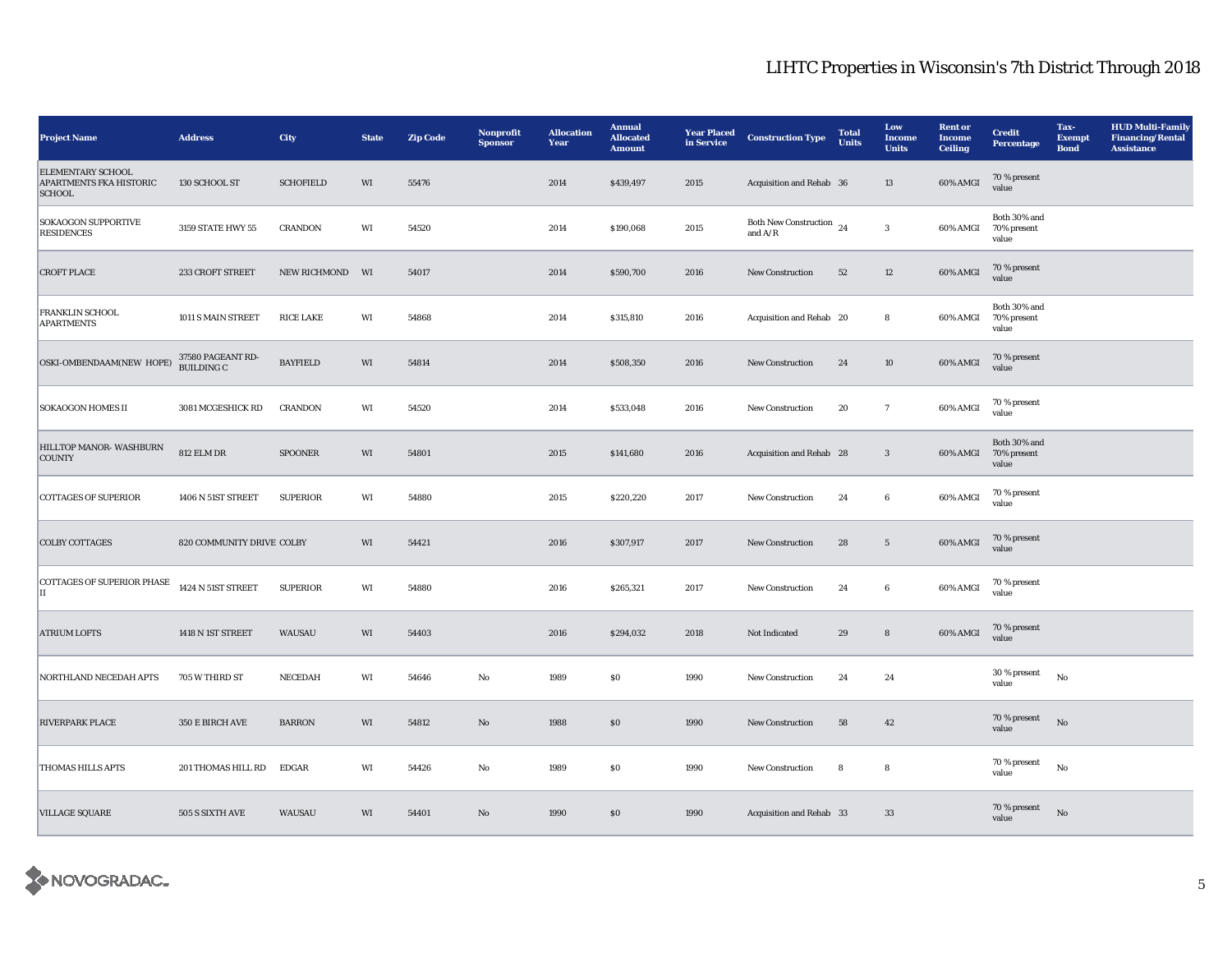| <b>Project Name</b>                                                         | <b>Address</b>                  | City             | <b>State</b> | <b>Zip Code</b> | Nonprofit<br><b>Sponsor</b> | <b>Allocation</b><br>Year | <b>Annual</b><br><b>Allocated</b><br><b>Amount</b> | <b>Year Placed</b><br>in Service | <b>Construction Type</b>                   | <b>Total</b><br>Units | Low<br>Income<br><b>Units</b> | <b>Rent</b> or<br><b>Income</b><br>Ceiling | <b>Credit</b><br>Percentage          | Tax-<br><b>Exempt</b><br><b>Bond</b> | <b>HUD Multi-Family</b><br><b>Financing/Rental</b><br><b>Assistance</b> |
|-----------------------------------------------------------------------------|---------------------------------|------------------|--------------|-----------------|-----------------------------|---------------------------|----------------------------------------------------|----------------------------------|--------------------------------------------|-----------------------|-------------------------------|--------------------------------------------|--------------------------------------|--------------------------------------|-------------------------------------------------------------------------|
| <b>ELEMENTARY SCHOOL</b><br><b>APARTMENTS FKA HISTORIC</b><br><b>SCHOOL</b> | 130 SCHOOL ST                   | <b>SCHOFIELD</b> | WI           | 55476           |                             | 2014                      | \$439,497                                          | 2015                             | Acquisition and Rehab 36                   |                       | 13                            | 60% AMGI                                   | 70 % present<br>value                |                                      |                                                                         |
| <b>SOKAOGON SUPPORTIVE</b><br><b>RESIDENCES</b>                             | 3159 STATE HWY 55               | <b>CRANDON</b>   | WI           | 54520           |                             | 2014                      | \$190,068                                          | 2015                             | Both New Construction $_{24}$<br>and $A/R$ |                       | $\mathbf{3}$                  | 60% AMGI                                   | Both 30% and<br>70% present<br>value |                                      |                                                                         |
| <b>CROFT PLACE</b>                                                          | 233 CROFT STREET                | NEW RICHMOND     | WI           | 54017           |                             | 2014                      | \$590,700                                          | 2016                             | <b>New Construction</b>                    | 52                    | $12\,$                        | 60% AMGI                                   | 70 % present<br>value                |                                      |                                                                         |
| <b>FRANKLIN SCHOOL</b><br><b>APARTMENTS</b>                                 | 1011 S MAIN STREET              | <b>RICE LAKE</b> | WI           | 54868           |                             | 2014                      | \$315,810                                          | 2016                             | Acquisition and Rehab 20                   |                       | ${\bf 8}$                     | 60% AMGI                                   | Both 30% and<br>70% present<br>value |                                      |                                                                         |
| OSKI-OMBENDAAM(NEW HOPE)                                                    | 37580 PAGEANT RD-<br>BUILDING C | <b>BAYFIELD</b>  | WI           | 54814           |                             | 2014                      | \$508,350                                          | 2016                             | New Construction                           | 24                    | $10\,$                        | 60% AMGI                                   | 70 % present<br>value                |                                      |                                                                         |
| <b>SOKAOGON HOMES II</b>                                                    | 3081 MCGESHICK RD               | <b>CRANDON</b>   | WI           | 54520           |                             | 2014                      | \$533,048                                          | 2016                             | <b>New Construction</b>                    | 20                    | $\mathbf{7}$                  | 60% AMGI                                   | 70 % present<br>value                |                                      |                                                                         |
| HILLTOP MANOR- WASHBURN<br><b>COUNTY</b>                                    | <b>812 ELM DR</b>               | <b>SPOONER</b>   | WI           | 54801           |                             | 2015                      | \$141,680                                          | 2016                             | Acquisition and Rehab 28                   |                       | $\sqrt{3}$                    | 60% AMGI                                   | Both 30% and<br>70% present<br>value |                                      |                                                                         |
| <b>COTTAGES OF SUPERIOR</b>                                                 | 1406 N 51ST STREET              | <b>SUPERIOR</b>  | WI           | 54880           |                             | 2015                      | \$220,220                                          | 2017                             | <b>New Construction</b>                    | 24                    | 6                             | 60% AMGI                                   | 70 % present<br>value                |                                      |                                                                         |
| <b>COLBY COTTAGES</b>                                                       | 820 COMMUNITY DRIVE COLBY       |                  | WI           | 54421           |                             | 2016                      | \$307,917                                          | 2017                             | <b>New Construction</b>                    | 28                    | $5\overline{ }$               | 60% AMGI                                   | 70 % present<br>value                |                                      |                                                                         |
| <b>COTTAGES OF SUPERIOR PHASE</b><br>IІ                                     | 1424 N 51ST STREET              | <b>SUPERIOR</b>  | WI           | 54880           |                             | 2016                      | \$265,321                                          | 2017                             | New Construction                           | 24                    | $\bf 6$                       | 60% AMGI                                   | 70 % present<br>value                |                                      |                                                                         |
| <b>ATRIUM LOFTS</b>                                                         | 1418 N 1ST STREET               | WAUSAU           | WI           | 54403           |                             | 2016                      | \$294,032                                          | 2018                             | Not Indicated                              | 29                    | $\bf8$                        | $60\%$ AMGI                                | 70 % present<br>value                |                                      |                                                                         |
| NORTHLAND NECEDAH APTS                                                      | 705 W THIRD ST                  | NECEDAH          | WI           | 54646           | No                          | 1989                      | <b>SO</b>                                          | 1990                             | <b>New Construction</b>                    | 24                    | 24                            |                                            | 30 % present<br>value                | No                                   |                                                                         |
| <b>RIVERPARK PLACE</b>                                                      | 350 E BIRCH AVE                 | <b>BARRON</b>    | WI           | 54812           | No                          | 1988                      | \$0                                                | 1990                             | <b>New Construction</b>                    | 58                    | 42                            |                                            | 70 % present<br>value                | No                                   |                                                                         |
| <b>THOMAS HILLS APTS</b>                                                    | 201 THOMAS HILL RD              | EDGAR            | WI           | 54426           | No                          | 1989                      | <b>SO</b>                                          | 1990                             | New Construction                           | 8                     | 8                             |                                            | 70 % present<br>value                | $_{\rm No}$                          |                                                                         |
| <b>VILLAGE SQUARE</b>                                                       | 505 S SIXTH AVE                 | WAUSAU           | WI           | 54401           | No                          | 1990                      | \$0                                                | 1990                             | Acquisition and Rehab 33                   |                       | 33                            |                                            | 70 % present<br>value                | $\rm No$                             |                                                                         |

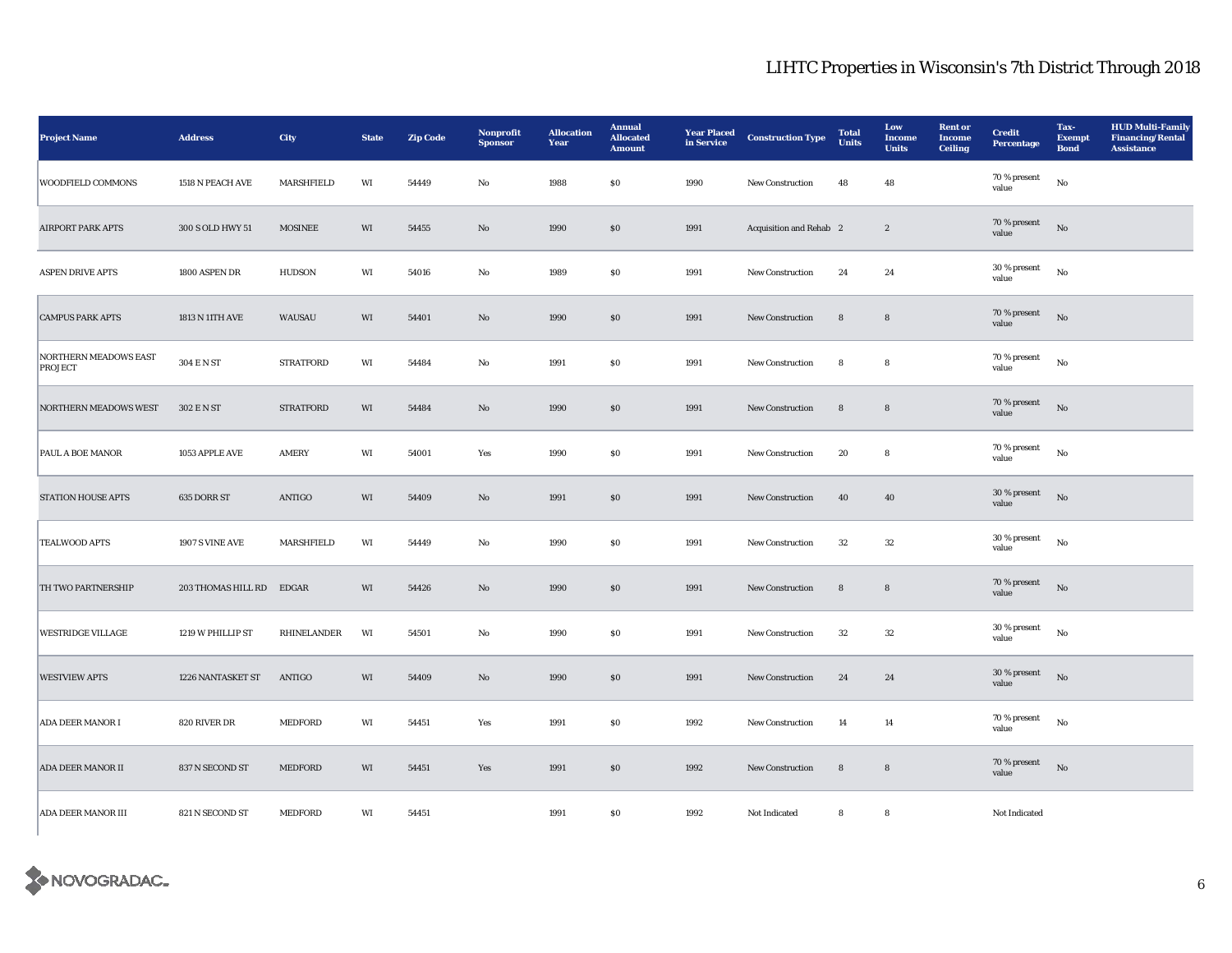| <b>Project Name</b>              | <b>Address</b>           | City             | <b>State</b> | <b>Zip Code</b> | Nonprofit<br><b>Sponsor</b> | <b>Allocation</b><br>Year | <b>Annual</b><br><b>Allocated</b><br><b>Amount</b> | <b>Year Placed</b><br>in Service | <b>Construction Type</b> | <b>Total</b><br><b>Units</b> | Low<br><b>Income</b><br><b>Units</b> | <b>Rent or</b><br><b>Income</b><br>Ceiling | <b>Credit</b><br>Percentage | Tax-<br><b>Exempt</b><br><b>Bond</b> | <b>HUD Multi-Family</b><br><b>Financing/Rental</b><br><b>Assistance</b> |
|----------------------------------|--------------------------|------------------|--------------|-----------------|-----------------------------|---------------------------|----------------------------------------------------|----------------------------------|--------------------------|------------------------------|--------------------------------------|--------------------------------------------|-----------------------------|--------------------------------------|-------------------------------------------------------------------------|
| <b>WOODFIELD COMMONS</b>         | 1518 N PEACH AVE         | MARSHFIELD       | WI           | 54449           | $\rm No$                    | 1988                      | <b>SO</b>                                          | 1990                             | <b>New Construction</b>  | 48                           | 48                                   |                                            | 70 % present<br>value       | No                                   |                                                                         |
| <b>AIRPORT PARK APTS</b>         | 300 S OLD HWY 51         | <b>MOSINEE</b>   | WI           | 54455           | No                          | 1990                      | \$0                                                | 1991                             | Acquisition and Rehab 2  |                              | $\sqrt{2}$                           |                                            | 70 % present<br>value       | $_{\rm No}$                          |                                                                         |
| <b>ASPEN DRIVE APTS</b>          | 1800 ASPEN DR            | <b>HUDSON</b>    | WI           | 54016           | No                          | 1989                      | <b>SO</b>                                          | 1991                             | New Construction         | 24                           | 24                                   |                                            | 30 % present<br>value       | $_{\rm No}$                          |                                                                         |
| <b>CAMPUS PARK APTS</b>          | 1813 N 11TH AVE          | WAUSAU           | WI           | 54401           | $\mathbf{N}\mathbf{o}$      | 1990                      | \$0                                                | 1991                             | New Construction         | ${\bf 8}$                    | ${\bf 8}$                            |                                            | 70 % present<br>value       | $_{\rm No}$                          |                                                                         |
| NORTHERN MEADOWS EAST<br>PROJECT | 304 E N ST               | <b>STRATFORD</b> | WI           | 54484           | No                          | 1991                      | <b>SO</b>                                          | 1991                             | New Construction         | 8                            | ${\bf 8}$                            |                                            | 70 % present<br>value       | $_{\rm No}$                          |                                                                         |
| <b>NORTHERN MEADOWS WEST</b>     | 302 E N ST               | <b>STRATFORD</b> | WI           | 54484           | No                          | 1990                      | \$0                                                | 1991                             | <b>New Construction</b>  | 8                            | $\bf8$                               |                                            | 70 % present<br>value       | No                                   |                                                                         |
| PAUL A BOE MANOR                 | 1053 APPLE AVE           | AMERY            | WI           | 54001           | Yes                         | 1990                      | <b>SO</b>                                          | 1991                             | New Construction         | 20                           | ${\bf 8}$                            |                                            | 70 % present<br>value       | $_{\rm No}$                          |                                                                         |
| <b>STATION HOUSE APTS</b>        | 635 DORR ST              | <b>ANTIGO</b>    | WI           | 54409           | $\rm No$                    | 1991                      | \$0                                                | 1991                             | New Construction         | 40                           | 40                                   |                                            | 30 % present<br>value       | $_{\rm No}$                          |                                                                         |
| <b>TEALWOOD APTS</b>             | 1907 S VINE AVE          | MARSHFIELD       | WI           | 54449           | No                          | 1990                      | <b>SO</b>                                          | 1991                             | New Construction         | 32                           | 32                                   |                                            | 30 % present<br>value       | $_{\rm No}$                          |                                                                         |
| TH TWO PARTNERSHIP               | 203 THOMAS HILL RD EDGAR |                  | WI           | 54426           | No                          | 1990                      | \$0                                                | 1991                             | <b>New Construction</b>  | $\bf8$                       | ${\bf 8}$                            |                                            | 70 % present<br>value       | $_{\rm No}$                          |                                                                         |
| WESTRIDGE VILLAGE                | 1219 W PHILLIP ST        | RHINELANDER      | WI           | 54501           | No                          | 1990                      | <b>SO</b>                                          | 1991                             | New Construction         | 32                           | $32\,$                               |                                            | 30 % present<br>value       | No                                   |                                                                         |
| <b>WESTVIEW APTS</b>             | 1226 NANTASKET ST        | ANTIGO           | WI           | 54409           | $\mathbf{No}$               | 1990                      | $\$0$                                              | 1991                             | New Construction         | 24                           | 24                                   |                                            | 30 % present<br>value       | No                                   |                                                                         |
| <b>ADA DEER MANOR I</b>          | 820 RIVER DR             | <b>MEDFORD</b>   | WI           | 54451           | Yes                         | 1991                      | <b>SO</b>                                          | 1992                             | New Construction         | 14                           | 14                                   |                                            | 70 % present<br>value       | No                                   |                                                                         |
| <b>ADA DEER MANOR II</b>         | 837 N SECOND ST          | <b>MEDFORD</b>   | WI           | 54451           | Yes                         | 1991                      | \$0                                                | 1992                             | <b>New Construction</b>  | 8                            | $\bf8$                               |                                            | 70 % present<br>value       | $_{\rm No}$                          |                                                                         |
| ADA DEER MANOR III               | 821 N SECOND ST          | MEDFORD          | WI           | 54451           |                             | 1991                      | $\$0$                                              | 1992                             | Not Indicated            | ${\bf 8}$                    | ${\bf 8}$                            |                                            | Not Indicated               |                                      |                                                                         |

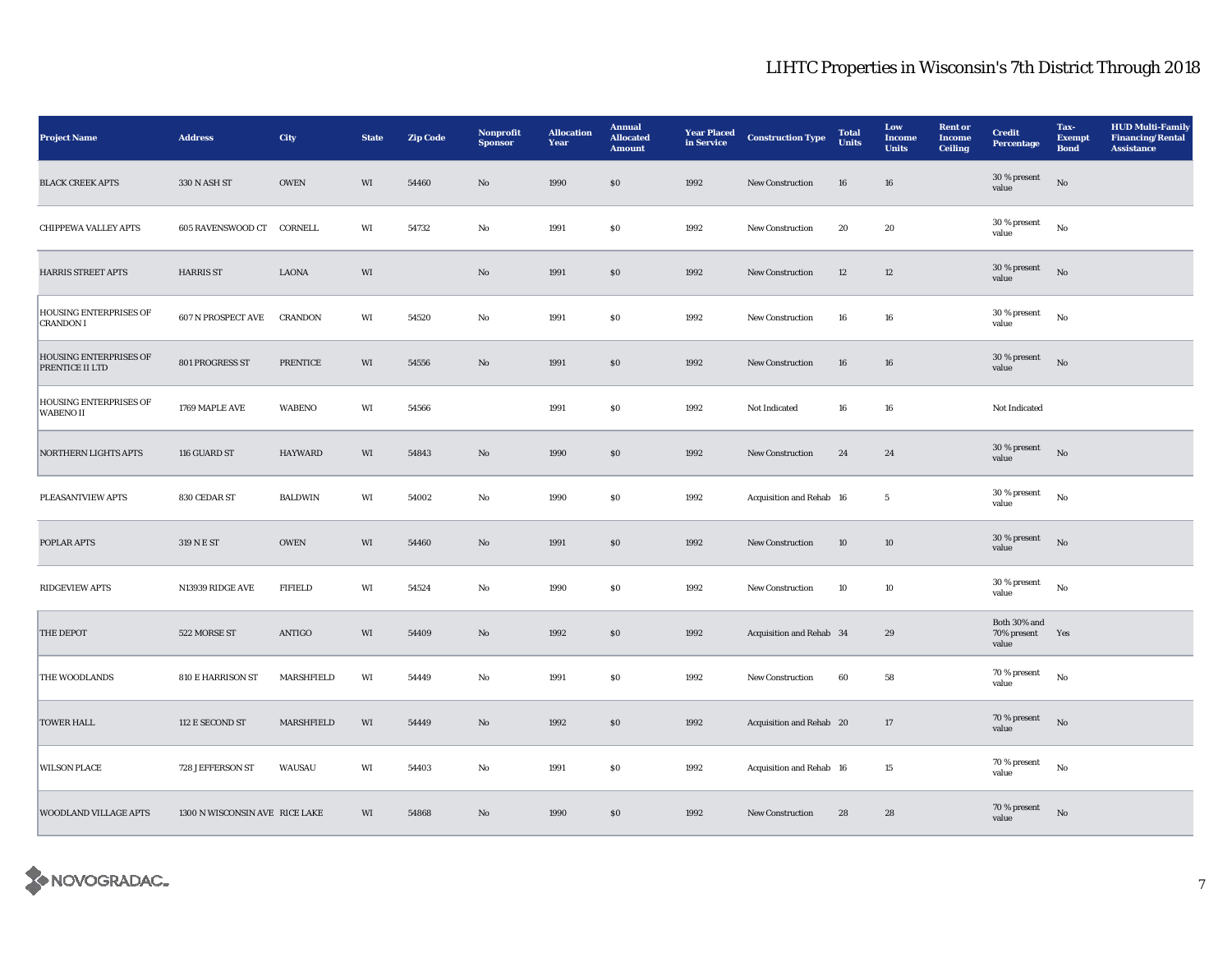| <b>Project Name</b>                               | <b>Address</b>                 | City                 | <b>State</b>           | <b>Zip Code</b> | Nonprofit<br><b>Sponsor</b> | <b>Allocation</b><br>Year | <b>Annual</b><br><b>Allocated</b><br><b>Amount</b> | <b>Year Placed</b><br>in Service | <b>Construction Type</b> | <b>Total</b><br><b>Units</b> | Low<br>Income<br><b>Units</b> | <b>Rent or</b><br><b>Income</b><br><b>Ceiling</b> | <b>Credit</b><br>Percentage          | Tax-<br><b>Exempt</b><br><b>Bond</b> | <b>HUD Multi-Family</b><br><b>Financing/Rental</b><br><b>Assistance</b> |
|---------------------------------------------------|--------------------------------|----------------------|------------------------|-----------------|-----------------------------|---------------------------|----------------------------------------------------|----------------------------------|--------------------------|------------------------------|-------------------------------|---------------------------------------------------|--------------------------------------|--------------------------------------|-------------------------------------------------------------------------|
| <b>BLACK CREEK APTS</b>                           | 330 N ASH ST                   | $\sqrt{\text{OWEN}}$ | $\mathbf{W}\mathbf{I}$ | 54460           | $\rm No$                    | 1990                      | ${\bf S0}$                                         | 1992                             | New Construction         | 16                           | ${\bf 16}$                    |                                                   | 30 % present<br>value                | $\rm No$                             |                                                                         |
| <b>CHIPPEWA VALLEY APTS</b>                       | 605 RAVENSWOOD CT CORNELL      |                      | WI                     | 54732           | No                          | 1991                      | $\$0$                                              | 1992                             | New Construction         | 20                           | 20                            |                                                   | 30 % present<br>value                | $_{\rm No}$                          |                                                                         |
| <b>HARRIS STREET APTS</b>                         | <b>HARRIS ST</b>               | <b>LAONA</b>         | WI                     |                 | No                          | 1991                      | \$0\$                                              | 1992                             | <b>New Construction</b>  | 12                           | 12                            |                                                   | 30 % present<br>value                | No                                   |                                                                         |
| <b>HOUSING ENTERPRISES OF</b><br><b>CRANDON I</b> | 607 N PROSPECT AVE             | <b>CRANDON</b>       | WI                     | 54520           | No                          | 1991                      | $\$0$                                              | 1992                             | <b>New Construction</b>  | ${\bf 16}$                   | 16                            |                                                   | 30 % present<br>value                | $_{\rm No}$                          |                                                                         |
| HOUSING ENTERPRISES OF<br>PRENTICE II LTD         | 801 PROGRESS ST                | <b>PRENTICE</b>      | WI                     | 54556           | No                          | 1991                      | \$0\$                                              | 1992                             | <b>New Construction</b>  | 16                           | 16                            |                                                   | 30 % present<br>value                | $\rm \bf No$                         |                                                                         |
| HOUSING ENTERPRISES OF<br><b>WABENO II</b>        | 1769 MAPLE AVE                 | <b>WABENO</b>        | WI                     | 54566           |                             | 1991                      | $\$0$                                              | 1992                             | Not Indicated            | 16                           | 16                            |                                                   | Not Indicated                        |                                      |                                                                         |
| <b>NORTHERN LIGHTS APTS</b>                       | 116 GUARD ST                   | <b>HAYWARD</b>       | WI                     | 54843           | $\rm No$                    | 1990                      | $\$0$                                              | 1992                             | New Construction         | $\bf 24$                     | $\bf 24$                      |                                                   | 30 % present<br>value                | $_{\rm No}$                          |                                                                         |
| PLEASANTVIEW APTS                                 | 830 CEDAR ST                   | <b>BALDWIN</b>       | WI                     | 54002           | No                          | 1990                      | ${\bf S0}$                                         | 1992                             | Acquisition and Rehab 16 |                              | $\sqrt{5}$                    |                                                   | 30 % present<br>value                | $_{\rm No}$                          |                                                                         |
| POPLAR APTS                                       | 319 N E ST                     | <b>OWEN</b>          | WI                     | 54460           | $\mathbf{N}\mathbf{o}$      | 1991                      | $\$0$                                              | 1992                             | New Construction         | 10                           | 10                            |                                                   | 30 % present<br>value                | $_{\rm No}$                          |                                                                         |
| <b>RIDGEVIEW APTS</b>                             | N13939 RIDGE AVE               | <b>FIFIELD</b>       | WI                     | 54524           | No                          | 1990                      | \$0\$                                              | 1992                             | <b>New Construction</b>  | 10                           | 10                            |                                                   | 30 % present<br>value                | No                                   |                                                                         |
| <b>THE DEPOT</b>                                  | 522 MORSE ST                   | ANTIGO               | WI                     | 54409           | $\mathbf{N}\mathbf{o}$      | 1992                      | $\$0$                                              | 1992                             | Acquisition and Rehab 34 |                              | 29                            |                                                   | Both 30% and<br>70% present<br>value | Yes                                  |                                                                         |
| THE WOODLANDS                                     | 810 E HARRISON ST              | MARSHFIELD           | WI                     | 54449           | No                          | 1991                      | $\$0$                                              | 1992                             | New Construction         | 60                           | 58                            |                                                   | 70 % present<br>value                | No                                   |                                                                         |
| <b>TOWER HALL</b>                                 | 112 E SECOND ST                | MARSHFIELD           | WI                     | 54449           | No                          | 1992                      | \$0\$                                              | 1992                             | Acquisition and Rehab 20 |                              | 17                            |                                                   | 70 % present<br>value                | No                                   |                                                                         |
| <b>WILSON PLACE</b>                               | 728 JEFFERSON ST               | WAUSAU               | WI                     | 54403           | No                          | 1991                      | \$0\$                                              | 1992                             | Acquisition and Rehab 16 |                              | 15                            |                                                   | 70 % present<br>value                | No                                   |                                                                         |
| <b>WOODLAND VILLAGE APTS</b>                      | 1300 N WISCONSIN AVE RICE LAKE |                      | WI                     | 54868           | No                          | 1990                      | \$0                                                | 1992                             | <b>New Construction</b>  | 28                           | 28                            |                                                   | 70 % present<br>value                | $\mathbf{N}\mathbf{o}$               |                                                                         |

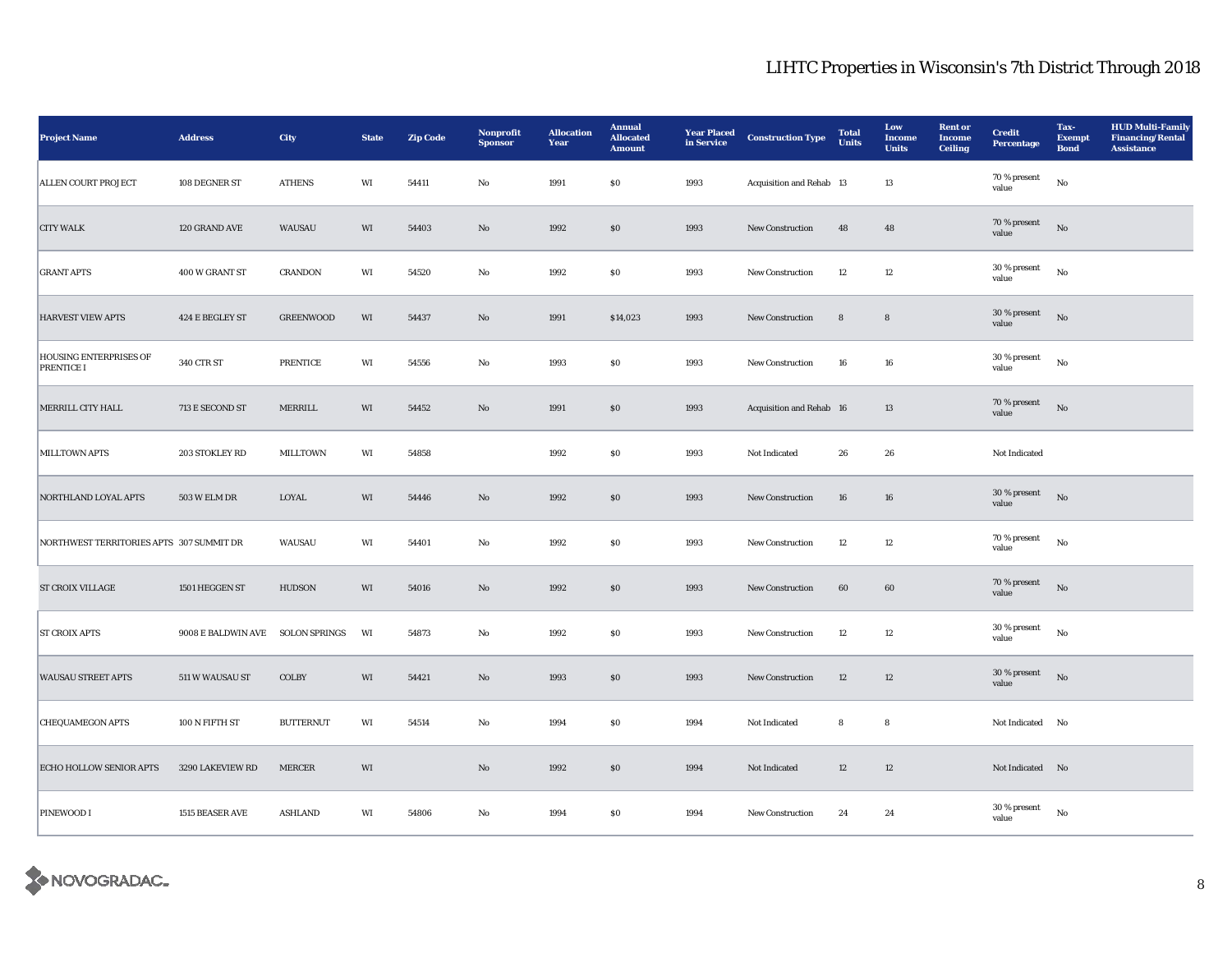| <b>Project Name</b>                                | <b>Address</b>      | City                 | <b>State</b> | <b>Zip Code</b> | Nonprofit<br><b>Sponsor</b> | <b>Allocation</b><br>Year | <b>Annual</b><br><b>Allocated</b><br><b>Amount</b> | <b>Year Placed</b><br>in Service | <b>Construction Type</b> | <b>Total</b><br><b>Units</b> | Low<br>Income<br><b>Units</b> | <b>Rent or</b><br><b>Income</b><br><b>Ceiling</b> | <b>Credit</b><br>Percentage | Tax-<br><b>Exempt</b><br><b>Bond</b> | <b>HUD Multi-Family</b><br><b>Financing/Rental</b><br><b>Assistance</b> |
|----------------------------------------------------|---------------------|----------------------|--------------|-----------------|-----------------------------|---------------------------|----------------------------------------------------|----------------------------------|--------------------------|------------------------------|-------------------------------|---------------------------------------------------|-----------------------------|--------------------------------------|-------------------------------------------------------------------------|
| <b>ALLEN COURT PROJECT</b>                         | 108 DEGNER ST       | <b>ATHENS</b>        | WI           | 54411           | No                          | 1991                      | $\$0$                                              | 1993                             | Acquisition and Rehab 13 |                              | 13                            |                                                   | 70 % present<br>value       | $_{\rm No}$                          |                                                                         |
| <b>CITY WALK</b>                                   | 120 GRAND AVE       | WAUSAU               | WI           | 54403           | $\mathbf{N}\mathbf{o}$      | 1992                      | \$0                                                | 1993                             | <b>New Construction</b>  | 48                           | 48                            |                                                   | 70 % present<br>value       | No                                   |                                                                         |
| <b>GRANT APTS</b>                                  | 400 W GRANT ST      | <b>CRANDON</b>       | WI           | 54520           | No                          | 1992                      | \$0                                                | 1993                             | New Construction         | 12                           | 12                            |                                                   | 30 % present<br>value       | $_{\rm No}$                          |                                                                         |
| <b>HARVEST VIEW APTS</b>                           | 424 E BEGLEY ST     | <b>GREENWOOD</b>     | WI           | 54437           | No                          | 1991                      | \$14,023                                           | 1993                             | New Construction         | ${\bf 8}$                    | $\bf8$                        |                                                   | 30 % present<br>value       | $_{\rm No}$                          |                                                                         |
| <b>HOUSING ENTERPRISES OF</b><br><b>PRENTICE I</b> | 340 CTR ST          | <b>PRENTICE</b>      | WI           | 54556           | $\rm No$                    | 1993                      | $\$0$                                              | 1993                             | New Construction         | 16                           | ${\bf 16}$                    |                                                   | 30 % present<br>value       | $_{\rm No}$                          |                                                                         |
| MERRILL CITY HALL                                  | 713 E SECOND ST     | MERRILL              | WI           | 54452           | $\rm No$                    | 1991                      | $\$0$                                              | 1993                             | Acquisition and Rehab 16 |                              | 13                            |                                                   | 70 % present<br>value       | No                                   |                                                                         |
| <b>MILLTOWN APTS</b>                               | 203 STOKLEY RD      | <b>MILLTOWN</b>      | WI           | 54858           |                             | 1992                      | $\$0$                                              | 1993                             | Not Indicated            | 26                           | 26                            |                                                   | Not Indicated               |                                      |                                                                         |
| NORTHLAND LOYAL APTS                               | <b>503 W ELM DR</b> | LOYAL                | WI           | 54446           | No                          | 1992                      | \$0                                                | 1993                             | <b>New Construction</b>  | 16                           | 16                            |                                                   | 30 % present<br>value       | No                                   |                                                                         |
| NORTHWEST TERRITORIES APTS 307 SUMMIT DR           |                     | WAUSAU               | WI           | 54401           | No                          | 1992                      | \$0                                                | 1993                             | <b>New Construction</b>  | 12                           | 12                            |                                                   | 70 % present<br>value       | $_{\rm No}$                          |                                                                         |
| ST CROIX VILLAGE                                   | 1501 HEGGEN ST      | <b>HUDSON</b>        | WI           | 54016           | $\mathbf{N}\mathbf{o}$      | 1992                      | $\$0$                                              | 1993                             | New Construction         | 60                           | 60                            |                                                   | $70$ % present<br>value     | $_{\rm No}$                          |                                                                         |
| <b>ST CROIX APTS</b>                               | 9008 E BALDWIN AVE  | <b>SOLON SPRINGS</b> | WI           | 54873           | $\rm No$                    | 1992                      | $\$0$                                              | 1993                             | New Construction         | 12                           | 12                            |                                                   | 30 % present<br>value       | $_{\rm No}$                          |                                                                         |
| <b>WAUSAU STREET APTS</b>                          | 511 W WAUSAU ST     | COLBY                | WI           | 54421           | $\mathbf{N}\mathbf{o}$      | 1993                      | $\$0$                                              | 1993                             | New Construction         | 12                           | 12                            |                                                   | 30 % present<br>value       | No                                   |                                                                         |
| <b>CHEQUAMEGON APTS</b>                            | 100 N FIFTH ST      | <b>BUTTERNUT</b>     | WI           | 54514           | No                          | 1994                      | \$0                                                | 1994                             | Not Indicated            | 8                            | 8                             |                                                   | Not Indicated No            |                                      |                                                                         |
| <b>ECHO HOLLOW SENIOR APTS</b>                     | 3290 LAKEVIEW RD    | <b>MERCER</b>        | WI           |                 | $\mathbf{N}\mathbf{o}$      | 1992                      | \$0                                                | 1994                             | Not Indicated            | 12                           | 12                            |                                                   | Not Indicated No            |                                      |                                                                         |
| <b>PINEWOOD I</b>                                  | 1515 BEASER AVE     | <b>ASHLAND</b>       | WI           | 54806           | No                          | 1994                      | \$0                                                | 1994                             | New Construction         | 24                           | 24                            |                                                   | 30 % present<br>value       | $\rm No$                             |                                                                         |

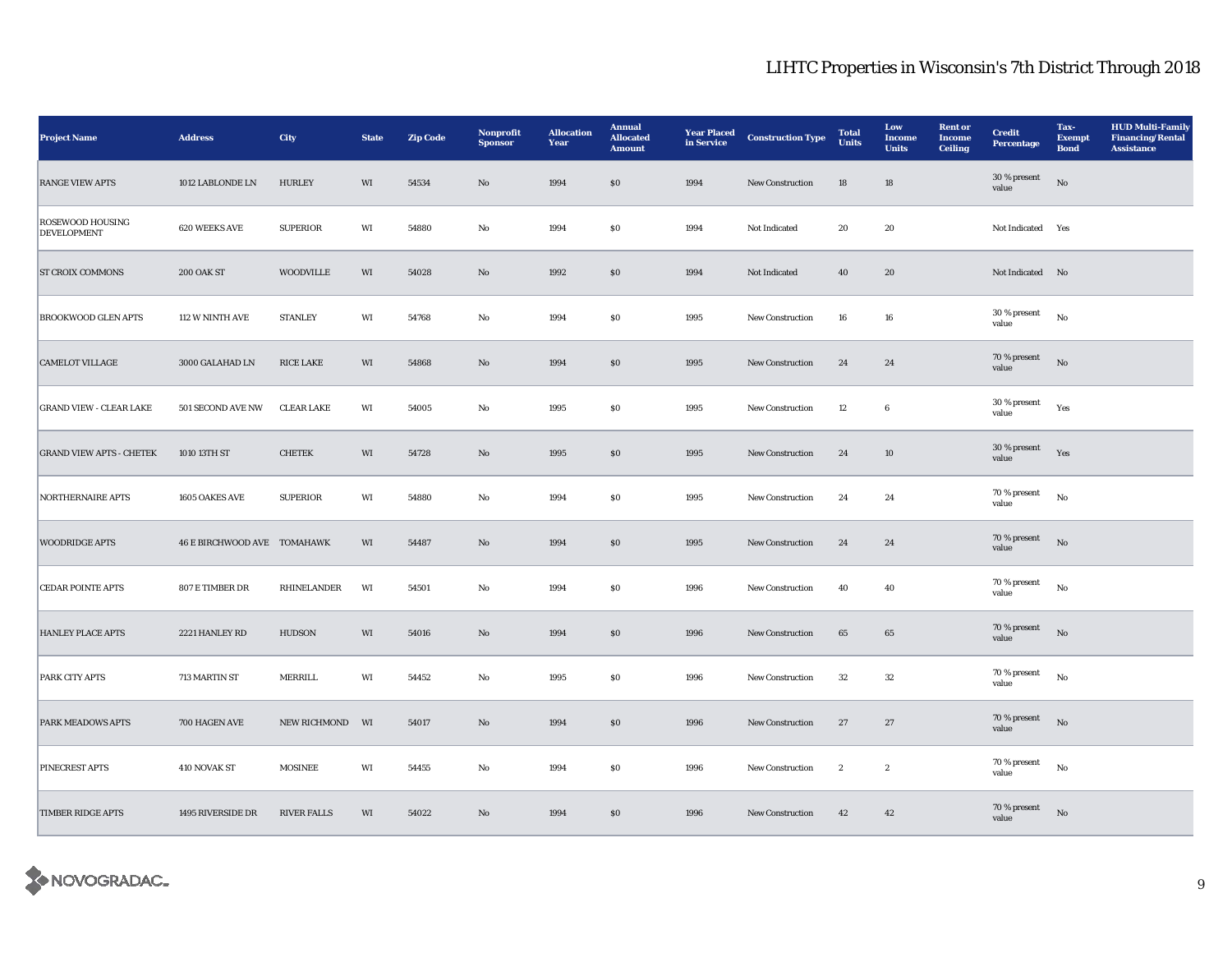| <b>Project Name</b>                           | <b>Address</b>                     | City               | <b>State</b> | <b>Zip Code</b> | Nonprofit<br><b>Sponsor</b> | <b>Allocation</b><br>Year | <b>Annual</b><br><b>Allocated</b><br><b>Amount</b> | <b>Year Placed</b><br>in Service | <b>Construction Type</b> | <b>Total</b><br>Units | Low<br>Income<br><b>Units</b> | <b>Rent or</b><br><b>Income</b><br><b>Ceiling</b> | <b>Credit</b><br><b>Percentage</b> | Tax-<br><b>Exempt</b><br><b>Bond</b> | <b>HUD Multi-Family</b><br><b>Financing/Rental</b><br><b>Assistance</b> |
|-----------------------------------------------|------------------------------------|--------------------|--------------|-----------------|-----------------------------|---------------------------|----------------------------------------------------|----------------------------------|--------------------------|-----------------------|-------------------------------|---------------------------------------------------|------------------------------------|--------------------------------------|-------------------------------------------------------------------------|
| <b>RANGE VIEW APTS</b>                        | 1012 LABLONDE LN                   | <b>HURLEY</b>      | WI           | 54534           | $\mathbf{No}$               | 1994                      | $\$0$                                              | 1994                             | New Construction         | 18                    | 18                            |                                                   | 30 % present<br>value              | No                                   |                                                                         |
| <b>ROSEWOOD HOUSING</b><br><b>DEVELOPMENT</b> | 620 WEEKS AVE                      | <b>SUPERIOR</b>    | WI           | 54880           | No                          | 1994                      | \$0                                                | 1994                             | Not Indicated            | 20                    | 20                            |                                                   | Not Indicated Yes                  |                                      |                                                                         |
| <b>ST CROIX COMMONS</b>                       | <b>200 OAK ST</b>                  | <b>WOODVILLE</b>   | WI           | 54028           | No                          | 1992                      | $\$0$                                              | 1994                             | Not Indicated            | 40                    | 20                            |                                                   | Not Indicated No                   |                                      |                                                                         |
| <b>BROOKWOOD GLEN APTS</b>                    | 112 W NINTH AVE                    | <b>STANLEY</b>     | WI           | 54768           | $_{\rm No}$                 | 1994                      | $\$0$                                              | 1995                             | New Construction         | 16                    | ${\bf 16}$                    |                                                   | 30 % present<br>value              | $_{\rm No}$                          |                                                                         |
| <b>CAMELOT VILLAGE</b>                        | 3000 GALAHAD LN                    | <b>RICE LAKE</b>   | WI           | 54868           | No                          | 1994                      | $\$0$                                              | 1995                             | New Construction         | 24                    | 24                            |                                                   | 70 % present<br>value              | $_{\rm No}$                          |                                                                         |
| <b>GRAND VIEW - CLEAR LAKE</b>                | 501 SECOND AVE NW                  | <b>CLEAR LAKE</b>  | WI           | 54005           | No                          | 1995                      | $\$0$                                              | 1995                             | New Construction         | 12                    | $6\phantom{.0}$               |                                                   | 30 % present<br>value              | Yes                                  |                                                                         |
| <b>GRAND VIEW APTS - CHETEK</b>               | 1010 13TH ST                       | <b>CHETEK</b>      | WI           | 54728           | No                          | 1995                      | \$0                                                | 1995                             | New Construction         | 24                    | 10                            |                                                   | 30 % present<br>value              | Yes                                  |                                                                         |
| <b>NORTHERNAIRE APTS</b>                      | 1605 OAKES AVE                     | <b>SUPERIOR</b>    | WI           | 54880           | $\rm No$                    | 1994                      | $\$0$                                              | 1995                             | New Construction         | 24                    | 24                            |                                                   | 70 % present<br>value              | $_{\rm No}$                          |                                                                         |
| <b>WOODRIDGE APTS</b>                         | <b>46 E BIRCHWOOD AVE TOMAHAWK</b> |                    | WI           | 54487           | $\mathbf{N}\mathbf{o}$      | 1994                      | \$0                                                | 1995                             | <b>New Construction</b>  | 24                    | 24                            |                                                   | 70 % present<br>value              | No                                   |                                                                         |
| <b>CEDAR POINTE APTS</b>                      | 807 E TIMBER DR                    | RHINELANDER        | WI           | 54501           | No                          | 1994                      | \$0                                                | 1996                             | New Construction         | 40                    | 40                            |                                                   | 70 % present<br>value              | No                                   |                                                                         |
| <b>HANLEY PLACE APTS</b>                      | 2221 HANLEY RD                     | <b>HUDSON</b>      | WI           | 54016           | No                          | 1994                      | \$0                                                | 1996                             | <b>New Construction</b>  | 65                    | 65                            |                                                   | 70 % present<br>value              | $_{\rm No}$                          |                                                                         |
| PARK CITY APTS                                | 713 MARTIN ST                      | MERRILL            | WI           | 54452           | $\rm No$                    | 1995                      | $\$0$                                              | 1996                             | New Construction         | 32                    | $32\,$                        |                                                   | 70 % present<br>value              | $\rm No$                             |                                                                         |
| <b>PARK MEADOWS APTS</b>                      | 700 HAGEN AVE                      | NEW RICHMOND WI    |              | 54017           | $\mathbf{N}\mathbf{o}$      | 1994                      | $\$0$                                              | 1996                             | New Construction         | 27                    | 27                            |                                                   | 70 % present<br>value              | No                                   |                                                                         |
| PINECREST APTS                                | 410 NOVAK ST                       | <b>MOSINEE</b>     | WI           | 54455           | No                          | 1994                      | \$0                                                | 1996                             | <b>New Construction</b>  | $\mathbf{2}$          | $\boldsymbol{2}$              |                                                   | 70 % present<br>value              | No                                   |                                                                         |
| <b>TIMBER RIDGE APTS</b>                      | 1495 RIVERSIDE DR                  | <b>RIVER FALLS</b> | WI           | 54022           | No                          | 1994                      | \$0                                                | 1996                             | <b>New Construction</b>  | 42                    | 42                            |                                                   | 70 % present<br>value              | No                                   |                                                                         |

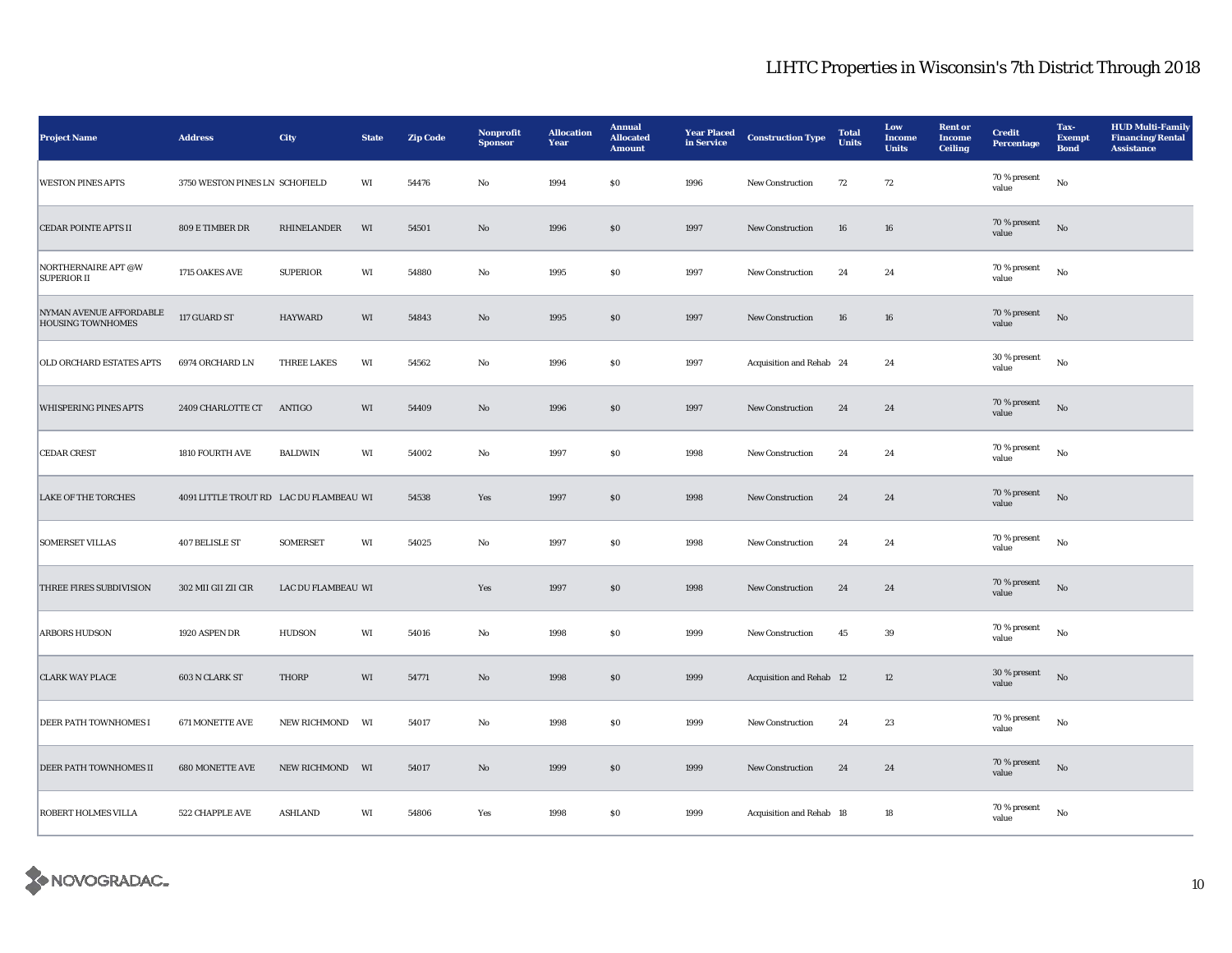| <b>Project Name</b>                                 | <b>Address</b>                          | City               | <b>State</b> | <b>Zip Code</b> | Nonprofit<br><b>Sponsor</b> | <b>Allocation</b><br>Year | <b>Annual</b><br><b>Allocated</b><br><b>Amount</b> | <b>Year Placed</b><br>in Service | <b>Construction Type</b> | <b>Total</b><br>Units | Low<br>Income<br><b>Units</b> | <b>Rent or</b><br><b>Income</b><br>Ceiling | <b>Credit</b><br>Percentage | Tax-<br><b>Exempt</b><br><b>Bond</b> | <b>HUD Multi-Family</b><br><b>Financing/Rental</b><br><b>Assistance</b> |
|-----------------------------------------------------|-----------------------------------------|--------------------|--------------|-----------------|-----------------------------|---------------------------|----------------------------------------------------|----------------------------------|--------------------------|-----------------------|-------------------------------|--------------------------------------------|-----------------------------|--------------------------------------|-------------------------------------------------------------------------|
| <b>WESTON PINES APTS</b>                            | 3750 WESTON PINES LN SCHOFIELD          |                    | WI           | 54476           | $\rm No$                    | 1994                      | $\$0$                                              | 1996                             | New Construction         | 72                    | 72                            |                                            | 70 % present<br>value       | $_{\rm No}$                          |                                                                         |
| <b>CEDAR POINTE APTS II</b>                         | 809 E TIMBER DR                         | RHINELANDER        | WI           | 54501           | $\rm No$                    | 1996                      | \$0                                                | 1997                             | New Construction         | 16                    | 16                            |                                            | 70 % present<br>value       | No                                   |                                                                         |
| NORTHERNAIRE APT @W<br><b>SUPERIOR II</b>           | 1715 OAKES AVE                          | <b>SUPERIOR</b>    | WI           | 54880           | No                          | 1995                      | $\$0$                                              | 1997                             | New Construction         | 24                    | 24                            |                                            | 70 % present<br>value       | $_{\rm No}$                          |                                                                         |
| NYMAN AVENUE AFFORDABLE<br><b>HOUSING TOWNHOMES</b> | 117 GUARD ST                            | HAYWARD            | $\rm WI$     | 54843           | $\rm No$                    | 1995                      | $\$0$                                              | 1997                             | New Construction         | 16                    | ${\bf 16}$                    |                                            | 70 % present<br>value       | $_{\rm No}$                          |                                                                         |
| OLD ORCHARD ESTATES APTS                            | 6974 ORCHARD LN                         | <b>THREE LAKES</b> | WI           | 54562           | No                          | 1996                      | $\$0$                                              | 1997                             | Acquisition and Rehab 24 |                       | 24                            |                                            | 30 % present<br>value       | $_{\rm No}$                          |                                                                         |
| <b>WHISPERING PINES APTS</b>                        | 2409 CHARLOTTE CT                       | ANTIGO             | WI           | 54409           | $\mathbf{N}\mathbf{o}$      | 1996                      | $\$0$                                              | 1997                             | New Construction         | 24                    | 24                            |                                            | 70 % present<br>value       | $_{\rm No}$                          |                                                                         |
| <b>CEDAR CREST</b>                                  | 1810 FOURTH AVE                         | <b>BALDWIN</b>     | WI           | 54002           | $\mathbf{No}$               | 1997                      | $\$0$                                              | 1998                             | New Construction         | 24                    | 24                            |                                            | 70 % present<br>value       | $_{\rm No}$                          |                                                                         |
| <b>LAKE OF THE TORCHES</b>                          | 4091 LITTLE TROUT RD LAC DU FLAMBEAU WI |                    |              | 54538           | Yes                         | 1997                      | $\$0$                                              | 1998                             | New Construction         | 24                    | 24                            |                                            | 70 % present<br>value       | $_{\rm No}$                          |                                                                         |
| <b>SOMERSET VILLAS</b>                              | 407 BELISLE ST                          | <b>SOMERSET</b>    | WI           | 54025           | $\rm\thinspace No$          | 1997                      | $\bf{S0}$                                          | 1998                             | New Construction         | 24                    | $\bf 24$                      |                                            | 70 % present<br>value       | $_{\rm No}$                          |                                                                         |
| THREE FIRES SUBDIVISION                             | 302 MII GII ZII CIR                     | LAC DU FLAMBEAU WI |              |                 | Yes                         | 1997                      | $\$0$                                              | 1998                             | New Construction         | ${\bf 24}$            | ${\bf 24}$                    |                                            | 70 % present<br>value       | No                                   |                                                                         |
| <b>ARBORS HUDSON</b>                                | 1920 ASPEN DR                           | <b>HUDSON</b>      | WI           | 54016           | No                          | 1998                      | $\$0$                                              | 1999                             | New Construction         | 45                    | 39                            |                                            | $70$ % present<br>value     | $_{\rm No}$                          |                                                                         |
| <b>CLARK WAY PLACE</b>                              | 603 N CLARK ST                          | <b>THORP</b>       | WI           | 54771           | $\mathbf{N}\mathbf{o}$      | 1998                      | \$0                                                | 1999                             | Acquisition and Rehab 12 |                       | 12                            |                                            | $30$ % present<br>value     | $_{\rm No}$                          |                                                                         |
| DEER PATH TOWNHOMES I                               | 671 MONETTE AVE                         | NEW RICHMOND       | WI           | 54017           | $\rm No$                    | 1998                      | $\$0$                                              | 1999                             | New Construction         | 24                    | 23                            |                                            | 70 % present<br>value       | $_{\rm No}$                          |                                                                         |
| DEER PATH TOWNHOMES II                              | 680 MONETTE AVE                         | NEW RICHMOND       | WI           | 54017           | $\rm No$                    | 1999                      | $\$0$                                              | 1999                             | New Construction         | 24                    | ${\bf 24}$                    |                                            | 70 % present<br>value       | $_{\rm No}$                          |                                                                         |
| ROBERT HOLMES VILLA                                 | 522 CHAPPLE AVE                         | <b>ASHLAND</b>     | WI           | 54806           | Yes                         | 1998                      | $\$0$                                              | 1999                             | Acquisition and Rehab 18 |                       | $18\,$                        |                                            | 70 % present<br>value       | $\rm No$                             |                                                                         |

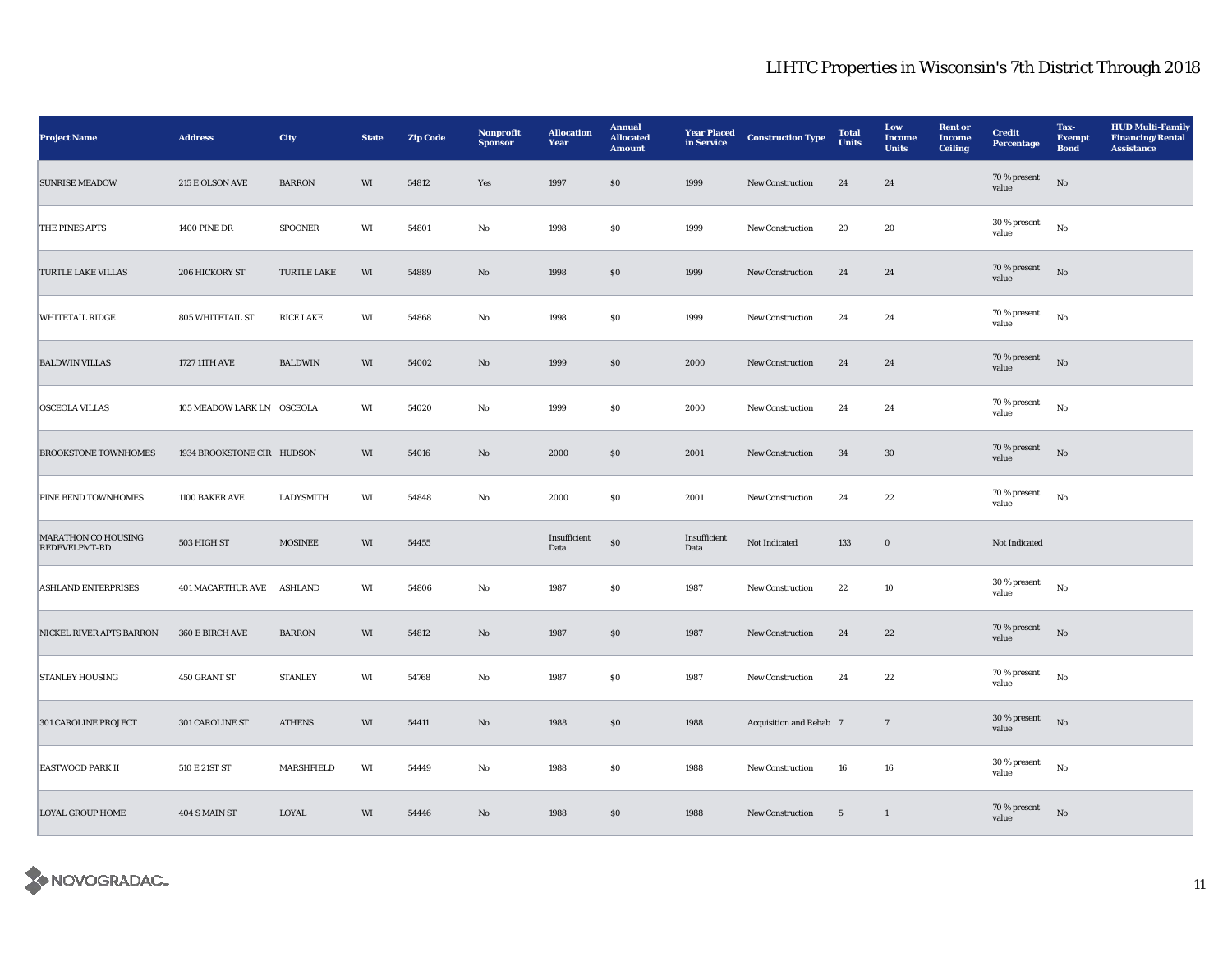| <b>Project Name</b>                         | <b>Address</b>             | City               | <b>State</b> | <b>Zip Code</b> | Nonprofit<br><b>Sponsor</b> | <b>Allocation</b><br>Year | <b>Annual</b><br><b>Allocated</b><br><b>Amount</b> | <b>Year Placed</b><br>in Service | <b>Construction Type</b> | <b>Total</b><br><b>Units</b> | Low<br>Income<br><b>Units</b> | <b>Rent or</b><br><b>Income</b><br><b>Ceiling</b> | <b>Credit</b><br><b>Percentage</b> | Tax-<br><b>Exempt</b><br><b>Bond</b> | <b>HUD Multi-Family</b><br><b>Financing/Rental</b><br><b>Assistance</b> |
|---------------------------------------------|----------------------------|--------------------|--------------|-----------------|-----------------------------|---------------------------|----------------------------------------------------|----------------------------------|--------------------------|------------------------------|-------------------------------|---------------------------------------------------|------------------------------------|--------------------------------------|-------------------------------------------------------------------------|
| <b>SUNRISE MEADOW</b>                       | 215 E OLSON AVE            | <b>BARRON</b>      | WI           | 54812           | Yes                         | 1997                      | $\$0$                                              | 1999                             | New Construction         | 24                           | 24                            |                                                   | 70 % present<br>value              | No                                   |                                                                         |
| THE PINES APTS                              | <b>1400 PINE DR</b>        | <b>SPOONER</b>     | WI           | 54801           | No                          | 1998                      | \$0                                                | 1999                             | <b>New Construction</b>  | 20                           | 20                            |                                                   | 30 % present<br>value              | $_{\rm No}$                          |                                                                         |
| <b>TURTLE LAKE VILLAS</b>                   | 206 HICKORY ST             | <b>TURTLE LAKE</b> | WI           | 54889           | No                          | 1998                      | $\$0$                                              | 1999                             | New Construction         | 24                           | 24                            |                                                   | 70 % present<br>value              | $_{\rm No}$                          |                                                                         |
| <b>WHITETAIL RIDGE</b>                      | 805 WHITETAIL ST           | <b>RICE LAKE</b>   | WI           | 54868           | $\rm No$                    | 1998                      | $\$0$                                              | 1999                             | New Construction         | 24                           | 24                            |                                                   | 70 % present<br>value              | $_{\rm No}$                          |                                                                         |
| <b>BALDWIN VILLAS</b>                       | 1727 11TH AVE              | <b>BALDWIN</b>     | WI           | 54002           | No                          | 1999                      | $\$0$                                              | 2000                             | New Construction         | 24                           | 24                            |                                                   | 70 % present<br>value              | $_{\rm No}$                          |                                                                         |
| <b>OSCEOLA VILLAS</b>                       | 105 MEADOW LARK LN OSCEOLA |                    | WI           | 54020           | No                          | 1999                      | $\$0$                                              | 2000                             | New Construction         | 24                           | 24                            |                                                   | 70 % present<br>value              | No                                   |                                                                         |
| <b>BROOKSTONE TOWNHOMES</b>                 | 1934 BROOKSTONE CIR HUDSON |                    | WI           | 54016           | No                          | 2000                      | \$0                                                | 2001                             | <b>New Construction</b>  | 34                           | 30                            |                                                   | 70 % present<br>value              | No                                   |                                                                         |
| PINE BEND TOWNHOMES                         | 1100 BAKER AVE             | LADYSMITH          | WI           | 54848           | $_{\rm No}$                 | 2000                      | $\$0$                                              | 2001                             | New Construction         | 24                           | $\bf{22}$                     |                                                   | 70 % present<br>value              | $_{\rm No}$                          |                                                                         |
| <b>MARATHON CO HOUSING</b><br>REDEVELPMT-RD | 503 HIGH ST                | <b>MOSINEE</b>     | WI           | 54455           |                             | Insufficient<br>Data      | $\$0$                                              | Insufficient<br>Data             | Not Indicated            | 133                          | $\boldsymbol{0}$              |                                                   | Not Indicated                      |                                      |                                                                         |
| <b>ASHLAND ENTERPRISES</b>                  | 401 MACARTHUR AVE ASHLAND  |                    | WI           | 54806           | No                          | 1987                      | \$0                                                | 1987                             | New Construction         | 22                           | 10                            |                                                   | 30 % present<br>value              | No                                   |                                                                         |
| NICKEL RIVER APTS BARRON                    | 360 E BIRCH AVE            | <b>BARRON</b>      | WI           | 54812           | No                          | 1987                      | \$0                                                | 1987                             | <b>New Construction</b>  | 24                           | 22                            |                                                   | 70 % present<br>value              | $_{\rm No}$                          |                                                                         |
| <b>STANLEY HOUSING</b>                      | 450 GRANT ST               | <b>STANLEY</b>     | WI           | 54768           | $\rm No$                    | 1987                      | $\$0$                                              | 1987                             | New Construction         | 24                           | $\bf{22}$                     |                                                   | 70 % present<br>value              | $_{\rm No}$                          |                                                                         |
| <b>301 CAROLINE PROJECT</b>                 | <b>301 CAROLINE ST</b>     | <b>ATHENS</b>      | WI           | 54411           | $\mathbf{N}\mathbf{o}$      | 1988                      | $\$0$                                              | 1988                             | Acquisition and Rehab 7  |                              | $7\phantom{.0}$               |                                                   | 30 % present<br>value              | No                                   |                                                                         |
| <b>EASTWOOD PARK II</b>                     | 510 E 21ST ST              | MARSHFIELD         | WI           | 54449           | No                          | 1988                      | \$0                                                | 1988                             | <b>New Construction</b>  | 16                           | 16                            |                                                   | 30 % present<br>value              | $_{\rm No}$                          |                                                                         |
| <b>LOYAL GROUP HOME</b>                     | 404 S MAIN ST              | LOYAL              | WI           | 54446           | No                          | 1988                      | \$0                                                | 1988                             | <b>New Construction</b>  | $5\overline{5}$              | $\overline{1}$                |                                                   | 70 % present<br>value              | No                                   |                                                                         |